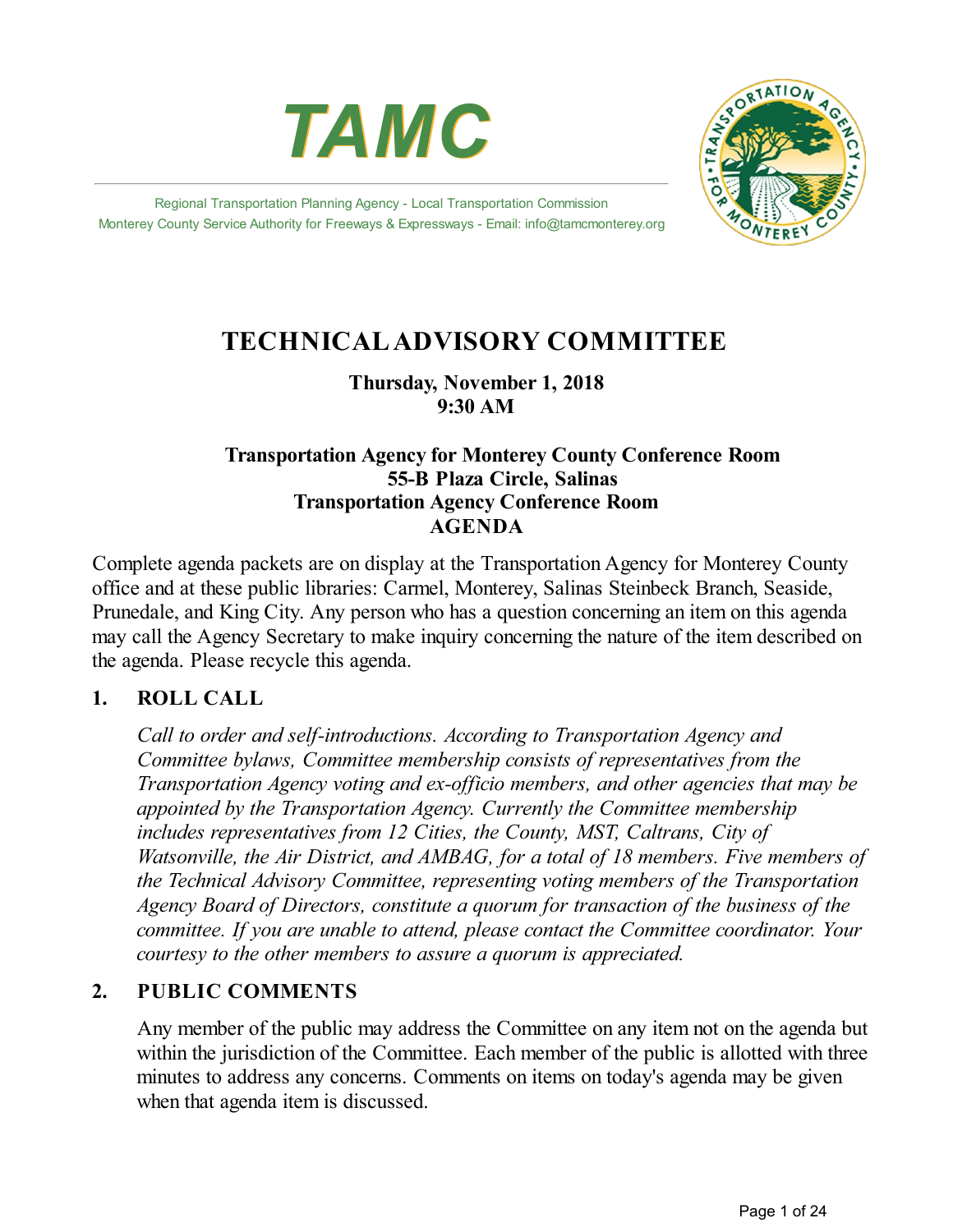



Regional Transportation Planning Agency - Local Transportation Commission Monterey County Service Authority for Freeways & Expressways - Email: info@tamcmonterey.org

# **TECHNICALADVISORY COMMITTEE**

# **Thursday, November 1, 2018 9:30 AM**

### **Transportation Agency for Monterey County Conference Room 55-B Plaza Circle, Salinas Transportation Agency Conference Room AGENDA**

Complete agenda packets are on display at the Transportation Agency for Monterey County office and at these public libraries: Carmel, Monterey, Salinas Steinbeck Branch, Seaside, Prunedale, and King City. Any person who has a question concerning an item on this agenda may call the Agency Secretary to make inquiry concerning the nature of the item described on the agenda. Please recycle this agenda.

## **1. ROLL CALL**

*Call to order and self-introductions. According to Transportation Agency and Committee bylaws, Committee membership consists of representatives from the Transportation Agency voting and ex-of icio members, and other agencies that may be appointed by the Transportation Agency. Currently the Committee membership includes representatives from 12 Cities, the County, MST, Caltrans, City of Watsonville, the Air District, and AMBAG, for a total of 18 members. Five members of the Technical Advisory Committee, representing voting members of the Transportation Agency Board of Directors, constitute a quorum for transaction of the business of the committee. If you are unable to attend, please contact the Committee coordinator. Your courtesy to the other members to assure a quorum is appreciated.*

## **2. PUBLIC COMMENTS**

Any member of the public may address the Committee on any item not on the agenda but within the jurisdiction of the Committee. Each member of the public is allotted with three minutes to address any concerns. Comments on items on today's agenda may be given when that agenda item is discussed.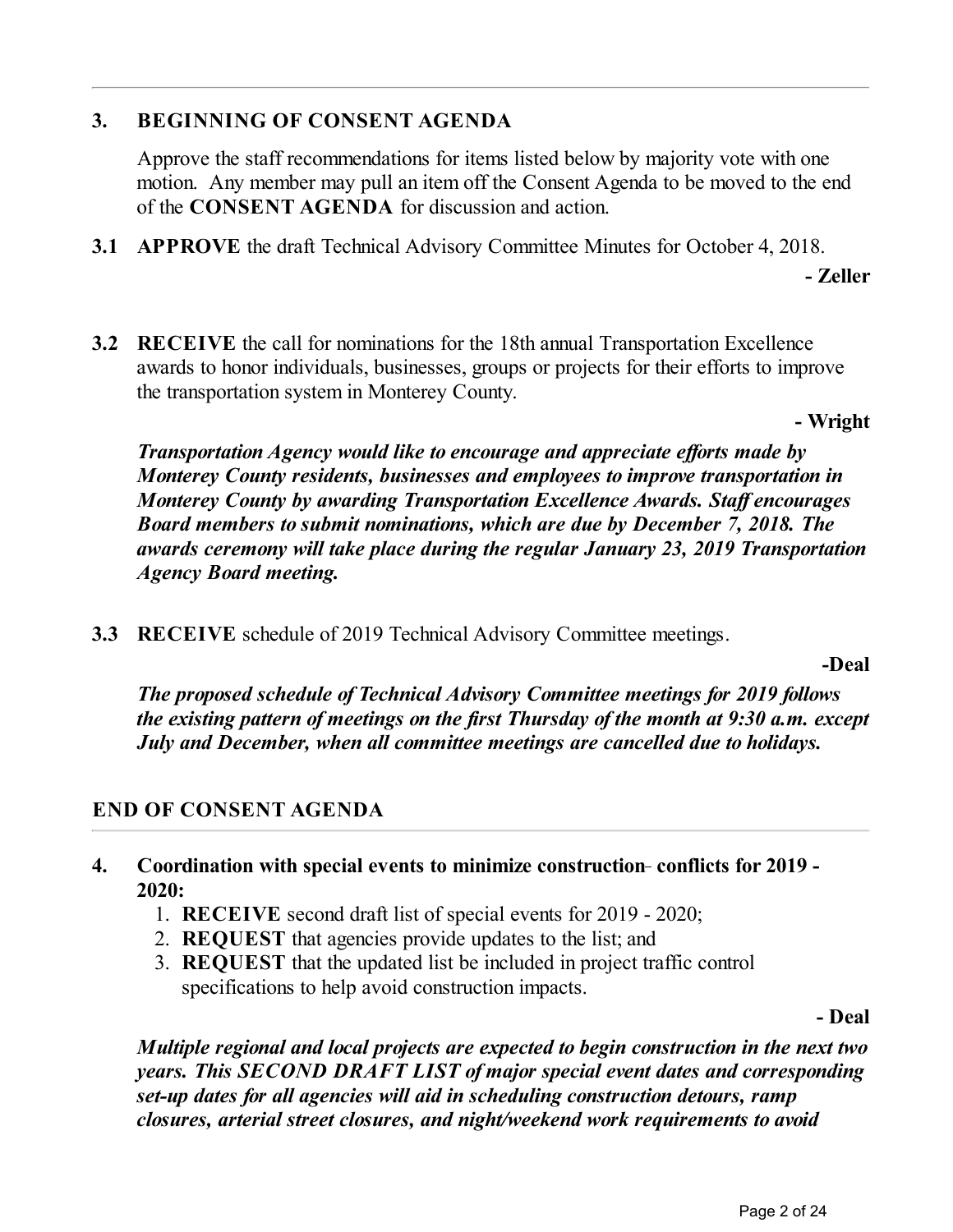### **3. BEGINNING OF CONSENT AGENDA**

Approve the staff recommendations for items listed below by majority vote with one motion. Any member may pull an item off the Consent Agenda to be moved to the end of the **CONSENT AGENDA** for discussion and action.

**3.1 APPROVE** the draft Technical Advisory Committee Minutes for October 4, 2018.

**- Zeller**

**3.2 RECEIVE** the call for nominations for the 18th annual Transportation Excellence awards to honor individuals, businesses, groups or projects for their efforts to improve the transportation system in Monterey County.

**- Wright**

*Transportation Agency would like to encourage and appreciate ef orts made by Monterey County residents, businesses and employees to improve transportation in Monterey County by awarding Transportation Excellence Awards. Staf encourages Board members to submit nominations, which are due by December 7, 2018. The awards ceremony will take place during the regular January 23, 2019 Transportation Agency Board meeting.*

**3.3 RECEIVE** schedule of 2019 Technical Advisory Committee meetings.

**-Deal**

*The proposed schedule of Technical Advisory Committee meetings for 2019 follows the existing pattern of meetings on the first Thursday of the month at 9:30 a.m. except July and December, when all committee meetings are cancelled due to holidays.*

# **END OF CONSENT AGENDA**

- **4. Coordination with special events to minimize construction conflicts for 2019 - 2020:**
	- 1. **RECEIVE** second draft list of special events for 2019 2020;
	- 2. **REQUEST** that agencies provide updates to the list;and
	- 3. **REQUEST** that the updated list be included in project traffic control specifications to help avoid construction impacts.

**- Deal**

*Multiple regional and local projects are expected to begin construction in the next two years. This SECOND DRAFT LIST of major special event dates and corresponding set-up dates for all agencies will aid in scheduling construction detours, ramp closures, arterial street closures, and night/weekend work requirements to avoid*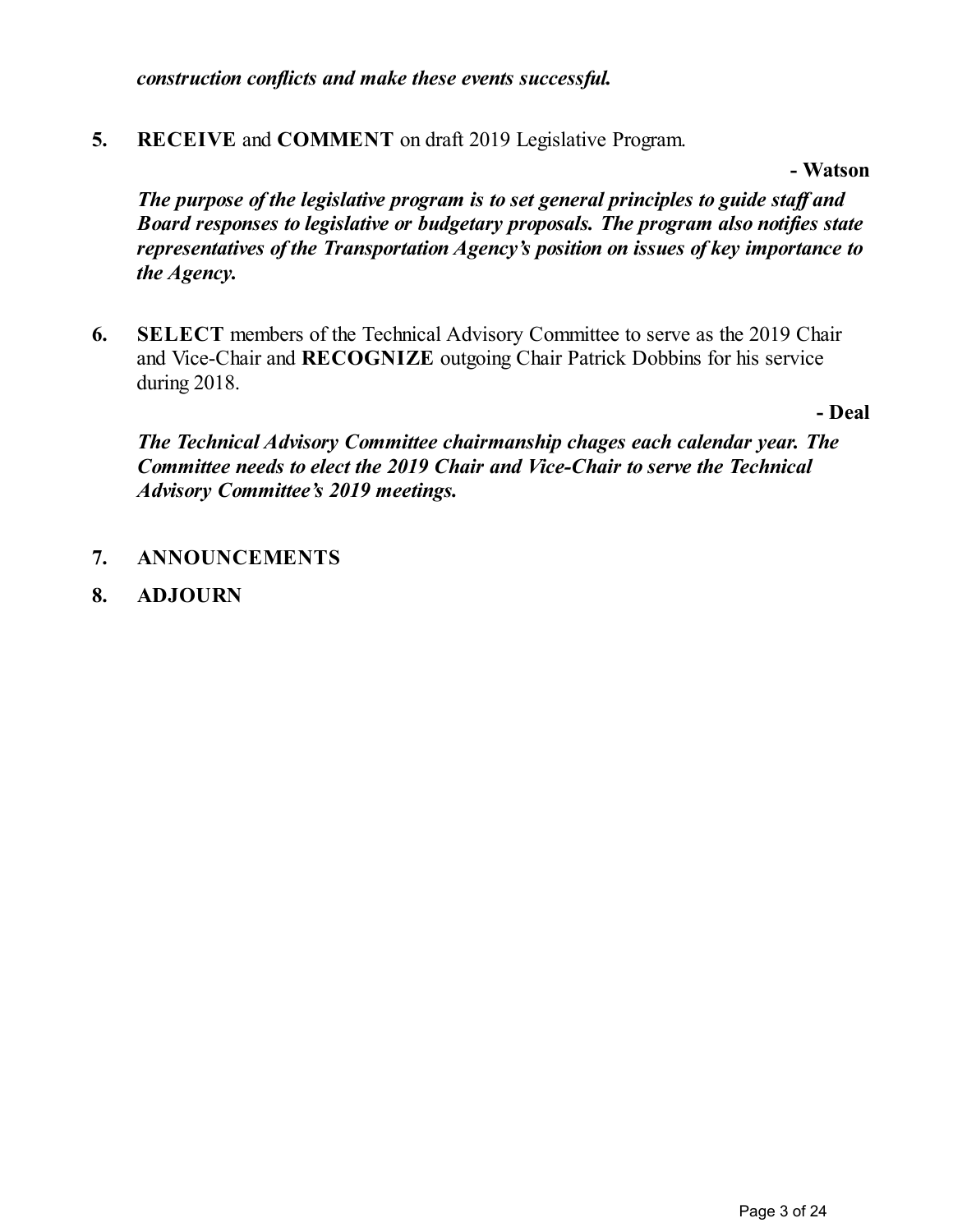*construction conflicts and make these events successful.*

**5. RECEIVE** and **COMMENT** on draft 2019 Legislative Program.

**- Watson**

*The purpose of the legislative program is to set general principles to guide staf and Board responses to legislative or budgetary proposals. The program also notifies state representatives of the Transportation Agency's position on issues of key importance to the Agency.*

**6. SELECT** members of the Technical Advisory Committee to serve as the 2019 Chair and Vice-Chair and **RECOGNIZE** outgoing Chair Patrick Dobbins for his service during 2018.

**- Deal**

*The Technical Advisory Committee chairmanship chages each calendar year. The Committee needs to elect the 2019 Chair and Vice-Chair to serve the Technical Advisory Committee's 2019 meetings.*

- **7. ANNOUNCEMENTS**
- **8. ADJOURN**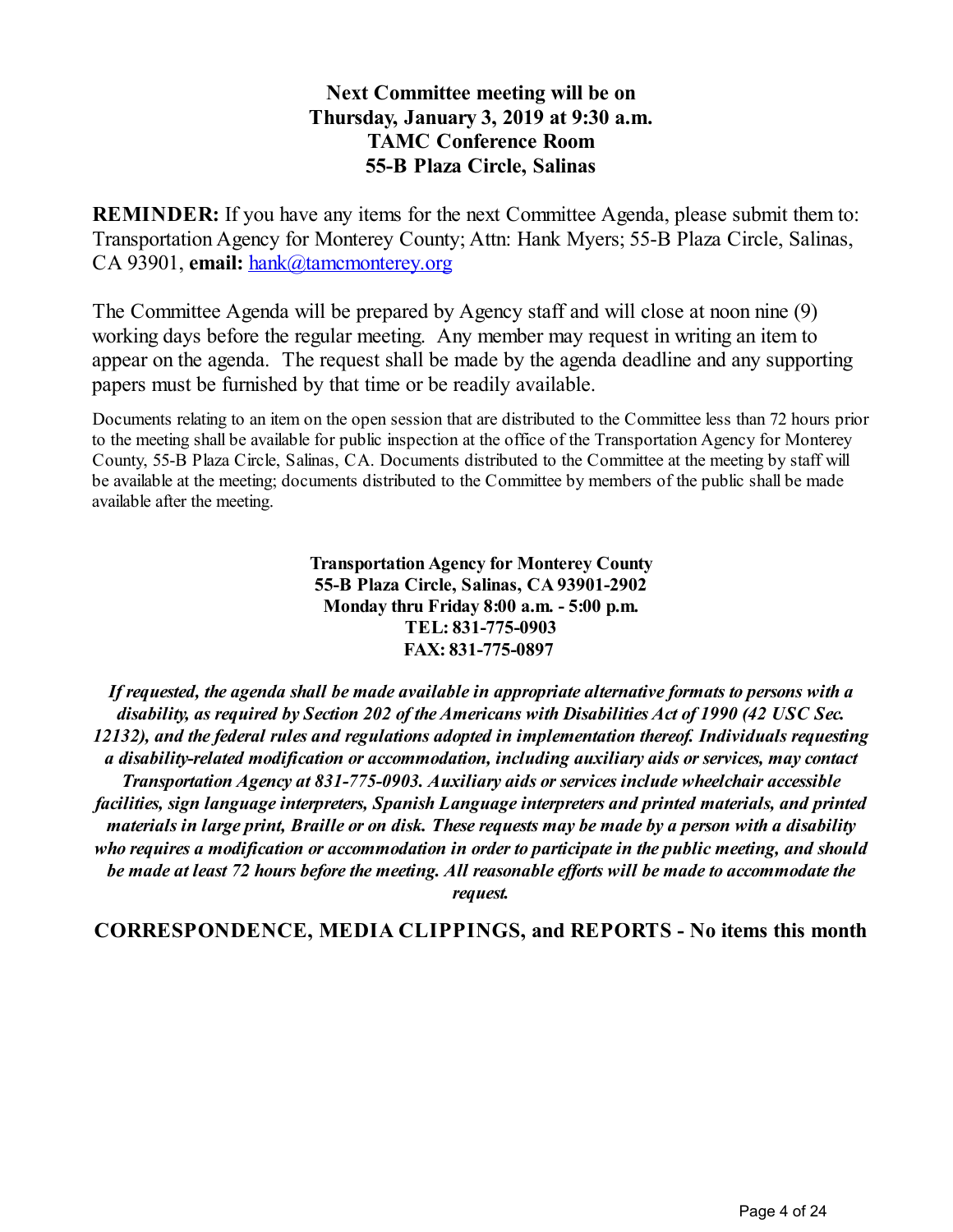### **Next Committee meeting will be on Thursday, January 3, 2019 at 9:30 a.m. TAMC Conference Room 55-B Plaza Circle, Salinas**

**REMINDER:** If you have any items for the next Committee Agenda, please submit them to: Transportation Agency for Monterey County; Attn: Hank Myers; 55-B Plaza Circle, Salinas, CA 93901, email: [hank@tamcmonterey.org](mailto:hank@tamcmonterey.org)

The Committee Agenda will be prepared by Agency staff and will close at noon nine (9) working days before the regular meeting. Any member may request in writing an item to appear on the agenda. The request shall be made by the agenda deadline and any supporting papers must be furnished by that time or be readily available.

Documents relating to an item on the open session that are distributed to the Committee less than 72 hours prior to the meeting shall be available for public inspection at the office of the Transportation Agency for Monterey County, 55-B Plaza Circle, Salinas, CA. Documents distributed to the Committee at the meeting by staff will be available at the meeting; documents distributed to the Committee by members of the public shall be made available after the meeting.

> **TransportationAgency for Monterey County 55-B Plaza Circle, Salinas, CA93901-2902 Monday thru Friday 8:00 a.m. - 5:00 p.m. TEL: 831-775-0903 FAX: 831-775-0897**

*If requested, the agenda shall be made availablein appropriate alternativeformats to persons with a disability, as required by Section 202 of the Americans with Disabilities Act of 1990 (42 USC Sec. 12132), and thefederal rules and regulations adopted in implementation thereof. Individuals requesting a disability-related modification or accommodation, including auxiliary aids or services, maycontact Transportation Agency at 831-775-0903. Auxiliary aids or services include wheelchair accessible facilities, sign languageinterpreters, Spanish Languageinterpreters and printed materials, and printed* materials in large print, Braille or on disk. These requests may be made by a person with a disability *who requires a modification or accommodation in order to participatein the public meeting, and should be* made at least 72 hours before the meeting. All reasonable efforts will be made to accommodate the *request.*

**CORRESPONDENCE, MEDIA CLIPPINGS, and REPORTS - No items this month**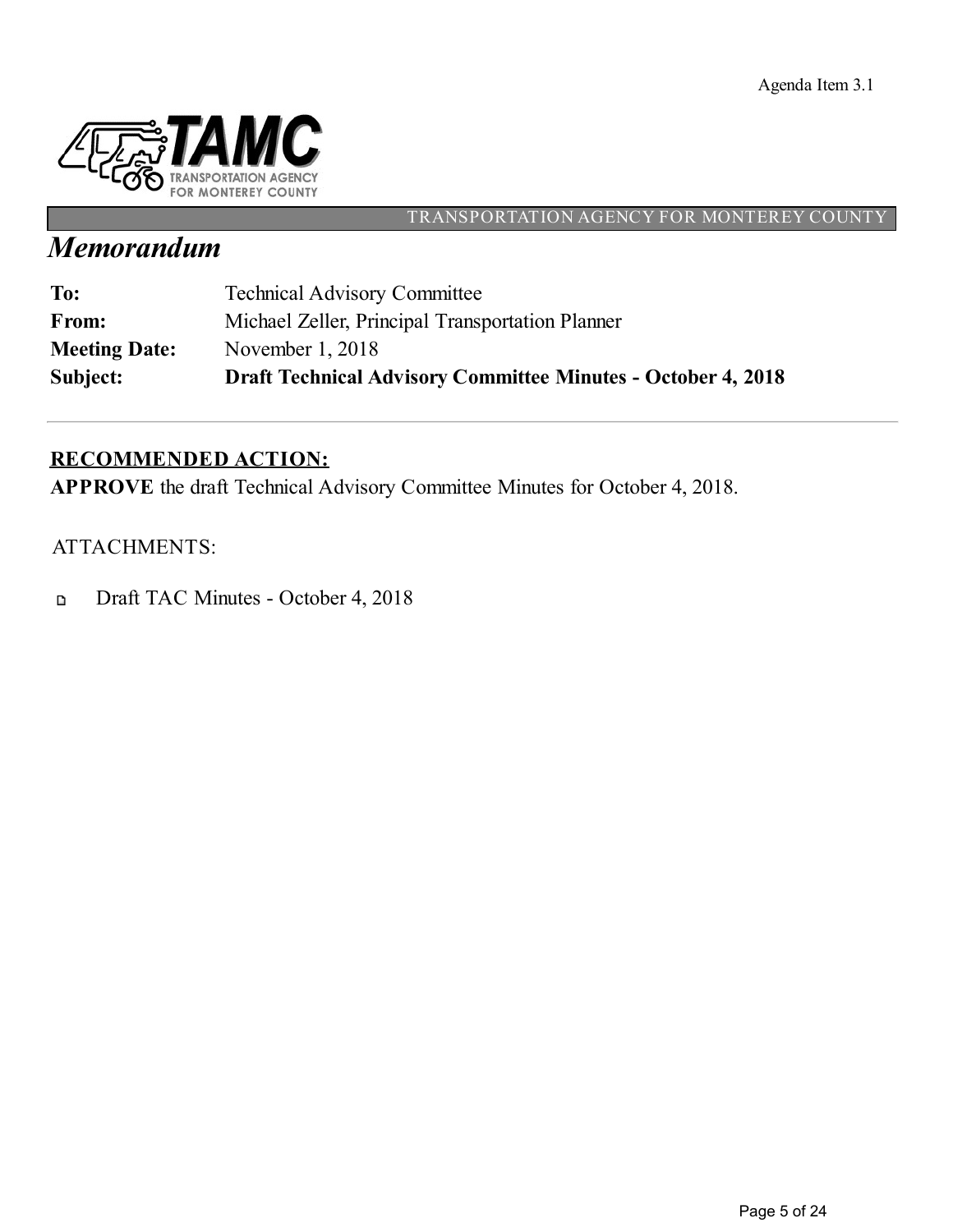Agenda Item 3.1



### TRANSPORTATION AGENCY FOR MONTEREY COUNTY

# *Memorandum*

| Subject:             | <b>Draft Technical Advisory Committee Minutes - October 4, 2018</b> |
|----------------------|---------------------------------------------------------------------|
| <b>Meeting Date:</b> | November $1, 2018$                                                  |
| <b>From:</b>         | Michael Zeller, Principal Transportation Planner                    |
| To:                  | <b>Technical Advisory Committee</b>                                 |

# **RECOMMENDED ACTION:**

**APPROVE** the draft Technical Advisory Committee Minutes for October 4, 2018.

## ATTACHMENTS:

Draft TAC Minutes - October 4, 2018  $\mathbf{D}$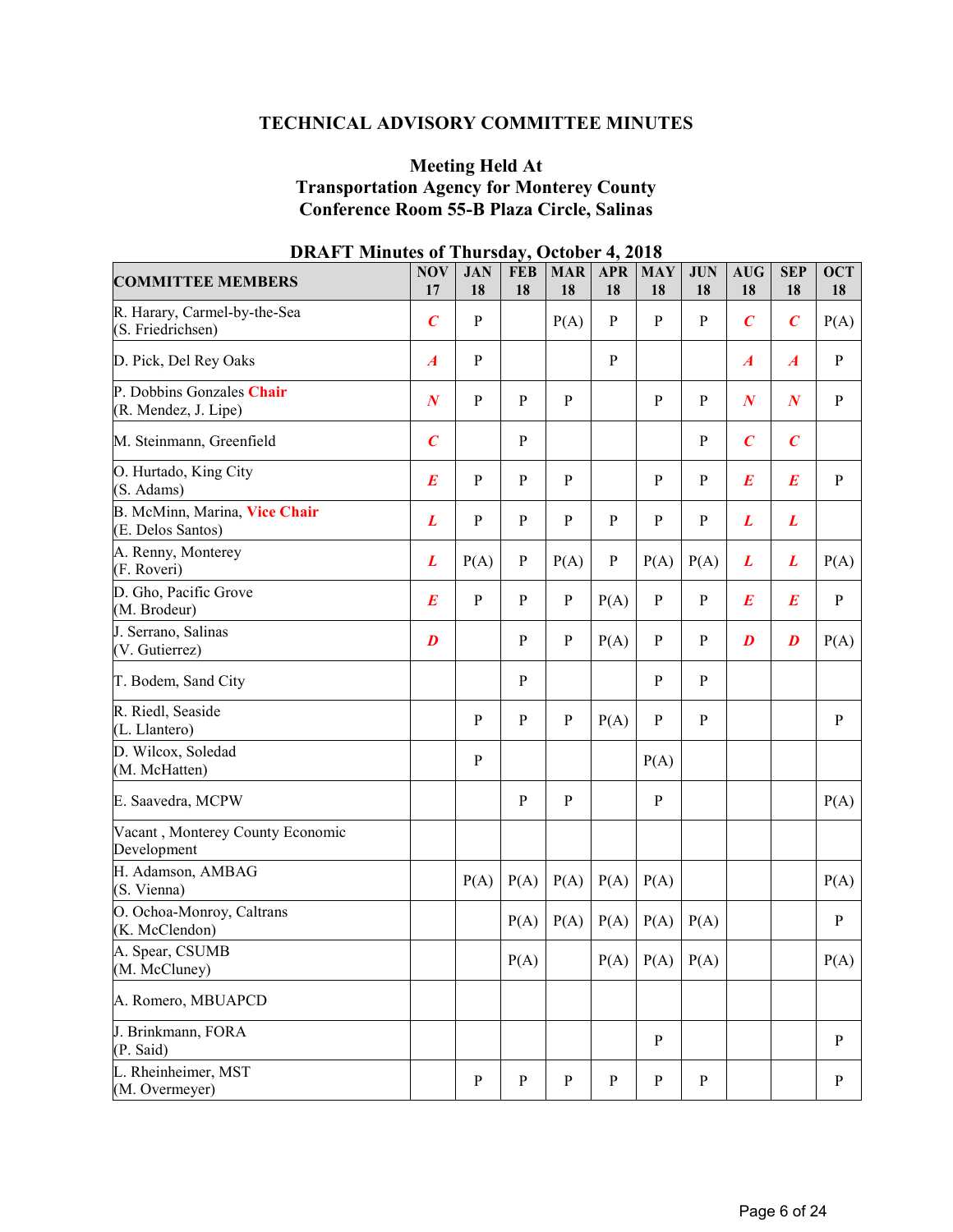### **TECHNICAL ADVISORY COMMITTEE MINUTES**

### **Meeting Held At Transportation Agency for Monterey County Conference Room 55-B Plaza Circle, Salinas**

| <b>COMMITTEE MEMBERS</b>                           | <b>NOV</b><br>17 | <b>JAN</b><br>18 | <b>FEB</b><br>18 | <b>MAR</b><br>18 | <b>APR</b><br>18 | <b>MAY</b><br>18   | <b>JUN</b><br>18 | <b>AUG</b><br>18 | <b>SEP</b><br>18 | <b>OCT</b><br>18 |
|----------------------------------------------------|------------------|------------------|------------------|------------------|------------------|--------------------|------------------|------------------|------------------|------------------|
| R. Harary, Carmel-by-the-Sea<br>(S. Friedrichsen)  | $\boldsymbol{C}$ | $\, {\bf P}$     |                  | P(A)             | ${\bf P}$        | $\, {\bf P}$       | ${\bf P}$        | $\boldsymbol{C}$ | $\boldsymbol{C}$ | P(A)             |
| D. Pick, Del Rey Oaks                              | $\boldsymbol{A}$ | $\, {\bf p}$     |                  |                  | ${\bf P}$        |                    |                  | $\boldsymbol{A}$ | $\boldsymbol{A}$ | $\mathbf{P}$     |
| P. Dobbins Gonzales Chair<br>(R. Mendez, J. Lipe)  | $\boldsymbol{N}$ | $\, {\bf p}$     | $\mathbf{P}$     | $\mathbf{P}$     |                  | $\mathbf{P}$       | $\mathbf{P}$     | $\boldsymbol{N}$ | $\boldsymbol{N}$ | $\mathbf{P}$     |
| M. Steinmann, Greenfield                           | $\boldsymbol{C}$ |                  | $\mathbf{P}$     |                  |                  |                    | $\mathbf{P}$     | $\boldsymbol{C}$ | $\boldsymbol{C}$ |                  |
| O. Hurtado, King City<br>(S. Adams)                | $\boldsymbol{E}$ | $\mathbf{P}$     | $\mathbf{P}$     | $\mathbf{P}$     |                  | $\mathbf{P}$       | ${\bf P}$        | $\boldsymbol{E}$ | $\boldsymbol{E}$ | $\mathbf{P}$     |
| B. McMinn, Marina, Vice Chair<br>(E. Delos Santos) | L                | $\, {\bf p}$     | $\mathbf{P}$     | $\mathbf{P}$     | ${\bf P}$        | ${\bf P}$          | ${\bf P}$        | L                | L                |                  |
| A. Renny, Monterey<br>(F. Roveri)                  | L                | P(A)             | $\mathbf{P}$     | P(A)             | ${\bf P}$        | P(A)               | P(A)             | L                | L                | P(A)             |
| D. Gho, Pacific Grove<br>(M. Brodeur)              | $\boldsymbol{E}$ | $\, {\bf P}$     | $\mathbf{P}$     | $\, {\bf p}$     | P(A)             | $\, {\bf P}$       | ${\bf P}$        | $\boldsymbol{E}$ | $\boldsymbol{E}$ | $\, {\bf P}$     |
| J. Serrano, Salinas<br>(V. Gutierrez)              | $\boldsymbol{D}$ |                  | $\mathbf{P}$     | $\, {\bf p}$     | P(A)             | $\, {\bf P}$       | $\mathbf{P}$     | $\boldsymbol{D}$ | $\boldsymbol{D}$ | P(A)             |
| T. Bodem, Sand City                                |                  |                  | $\mathbf{P}$     |                  |                  | $\mathbf{P}$       | $\mathbf{P}$     |                  |                  |                  |
| R. Riedl, Seaside<br>(L. Llantero)                 |                  | $\mathbf{P}$     | $\, {\bf p}$     | ${\bf P}$        | P(A)             | $\mathbf{P}$       | ${\bf P}$        |                  |                  | $\mathbf{P}$     |
| D. Wilcox, Soledad<br>(M. McHatten)                |                  | $\, {\bf p}$     |                  |                  |                  | P(A)               |                  |                  |                  |                  |
| E. Saavedra, MCPW                                  |                  |                  | $\mathbf{P}$     | $\mathbf{P}$     |                  | $\, {\bf P}$       |                  |                  |                  | P(A)             |
| Vacant, Monterey County Economic<br>Development    |                  |                  |                  |                  |                  |                    |                  |                  |                  |                  |
| H. Adamson, AMBAG<br>(S. Vienna)                   |                  | P(A)             | P(A)             | P(A)             | P(A)             | P(A)               |                  |                  |                  | P(A)             |
| O. Ochoa-Monroy, Caltrans<br>(K. McClendon)        |                  |                  | P(A)             | P(A)             | P(A)             | P(A)               | P(A)             |                  |                  | $\mathbf{P}$     |
| A. Spear, CSUMB<br>(M. McCluney)                   |                  |                  | P(A)             |                  |                  | P(A)   P(A)   P(A) |                  |                  |                  | P(A)             |
| A. Romero, MBUAPCD                                 |                  |                  |                  |                  |                  |                    |                  |                  |                  |                  |
| J. Brinkmann, FORA<br>(P. Said)                    |                  |                  |                  |                  |                  | $\, {\bf P}$       |                  |                  |                  | P                |
| L. Rheinheimer, MST<br>(M. Overmeyer)              |                  | $\, {\bf P}$     | $\mathbf{P}$     | P                | ${\bf P}$        | ${\bf P}$          | ${\bf P}$        |                  |                  | $\mathbf{P}$     |

### **DRAFT Minutes of Thursday, October 4, 2018**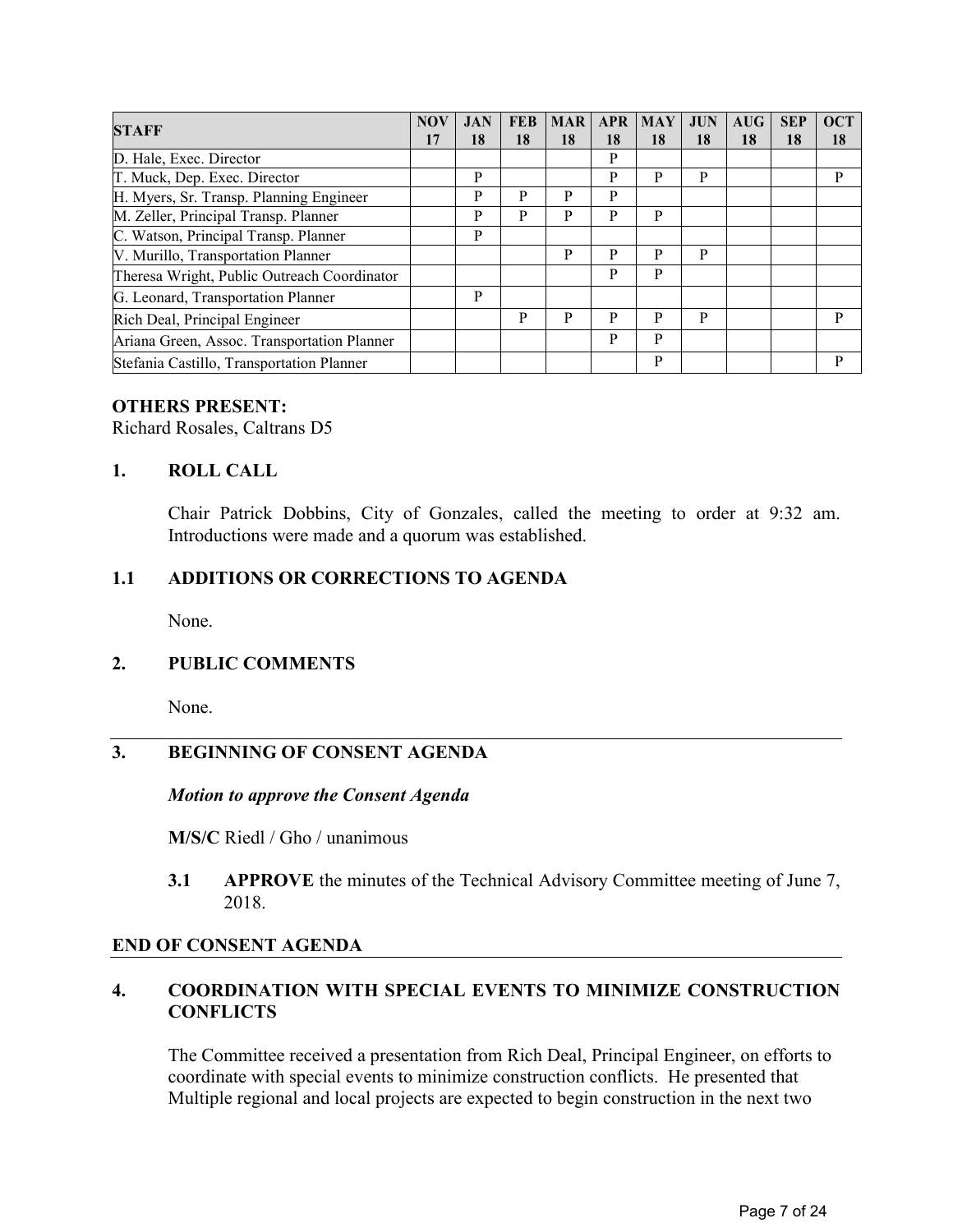| <b>STAFF</b>                                | <b>NOV</b> | <b>JAN</b> | <b>FEB</b> | <b>MAR</b> | <b>APR</b> | <b>MAY</b> | <b>JUN</b> | $A\overline{U}G$ | <b>SEP</b> | <b>OCT</b> |
|---------------------------------------------|------------|------------|------------|------------|------------|------------|------------|------------------|------------|------------|
|                                             | 17         | 18         | 18         | 18         | 18         | 18         | 18         | 18               | 18         | 18         |
| D. Hale, Exec. Director                     |            |            |            |            | P          |            |            |                  |            |            |
| T. Muck, Dep. Exec. Director                |            | P          |            |            | P          | P          | P          |                  |            | P          |
| H. Myers, Sr. Transp. Planning Engineer     |            | P          | P          | P          | P          |            |            |                  |            |            |
| M. Zeller, Principal Transp. Planner        |            | P          | P          | P          | P          | P          |            |                  |            |            |
| C. Watson, Principal Transp. Planner        |            | P          |            |            |            |            |            |                  |            |            |
| V. Murillo, Transportation Planner          |            |            |            | P          | P          | P          | P          |                  |            |            |
| Theresa Wright, Public Outreach Coordinator |            |            |            |            | P          | P          |            |                  |            |            |
| G. Leonard, Transportation Planner          |            | P          |            |            |            |            |            |                  |            |            |
| Rich Deal, Principal Engineer               |            |            | P          | P          | P          | P          | P          |                  |            | P          |
| Ariana Green, Assoc. Transportation Planner |            |            |            |            | P          | P          |            |                  |            |            |
| Stefania Castillo, Transportation Planner   |            |            |            |            |            | P          |            |                  |            | P          |

### **OTHERS PRESENT:**

Richard Rosales, Caltrans D5

### **1. ROLL CALL**

Chair Patrick Dobbins, City of Gonzales, called the meeting to order at 9:32 am. Introductions were made and a quorum was established.

### **1.1 ADDITIONS OR CORRECTIONS TO AGENDA**

None.

#### **2. PUBLIC COMMENTS**

None.

### **3. BEGINNING OF CONSENT AGENDA**

*Motion to approve the Consent Agenda* 

**M/S/C** Riedl / Gho / unanimous

**3.1 APPROVE** the minutes of the Technical Advisory Committee meeting of June 7, 2018.

#### **END OF CONSENT AGENDA**

### **4. COORDINATION WITH SPECIAL EVENTS TO MINIMIZE CONSTRUCTION CONFLICTS**

The Committee received a presentation from Rich Deal, Principal Engineer, on efforts to coordinate with special events to minimize construction conflicts. He presented that Multiple regional and local projects are expected to begin construction in the next two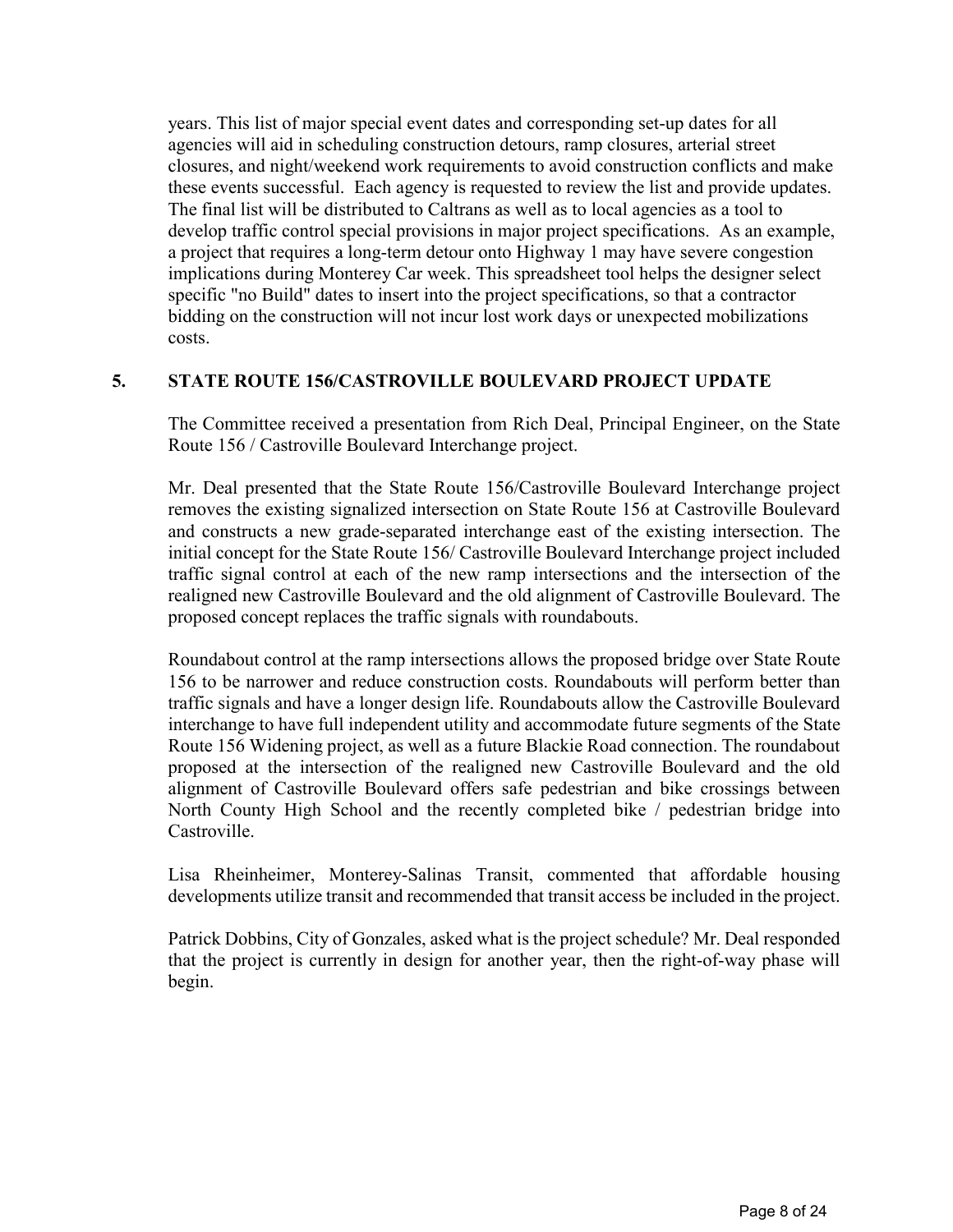years. This list of major special event dates and corresponding set-up dates for all agencies will aid in scheduling construction detours, ramp closures, arterial street closures, and night/weekend work requirements to avoid construction conflicts and make these events successful. Each agency is requested to review the list and provide updates. The final list will be distributed to Caltrans as well as to local agencies as a tool to develop traffic control special provisions in major project specifications. As an example, a project that requires a long-term detour onto Highway 1 may have severe congestion implications during Monterey Car week. This spreadsheet tool helps the designer select specific "no Build" dates to insert into the project specifications, so that a contractor bidding on the construction will not incur lost work days or unexpected mobilizations costs.

### **5. STATE ROUTE 156/CASTROVILLE BOULEVARD PROJECT UPDATE**

The Committee received a presentation from Rich Deal, Principal Engineer, on the State Route 156 / Castroville Boulevard Interchange project.

Mr. Deal presented that the State Route 156/Castroville Boulevard Interchange project removes the existing signalized intersection on State Route 156 at Castroville Boulevard and constructs a new grade-separated interchange east of the existing intersection. The initial concept for the State Route 156/ Castroville Boulevard Interchange project included traffic signal control at each of the new ramp intersections and the intersection of the realigned new Castroville Boulevard and the old alignment of Castroville Boulevard. The proposed concept replaces the traffic signals with roundabouts.

Roundabout control at the ramp intersections allows the proposed bridge over State Route 156 to be narrower and reduce construction costs. Roundabouts will perform better than traffic signals and have a longer design life. Roundabouts allow the Castroville Boulevard interchange to have full independent utility and accommodate future segments of the State Route 156 Widening project, as well as a future Blackie Road connection. The roundabout proposed at the intersection of the realigned new Castroville Boulevard and the old alignment of Castroville Boulevard offers safe pedestrian and bike crossings between North County High School and the recently completed bike / pedestrian bridge into Castroville.

Lisa Rheinheimer, Monterey-Salinas Transit, commented that affordable housing developments utilize transit and recommended that transit access be included in the project.

Patrick Dobbins, City of Gonzales, asked what is the project schedule? Mr. Deal responded that the project is currently in design for another year, then the right-of-way phase will begin.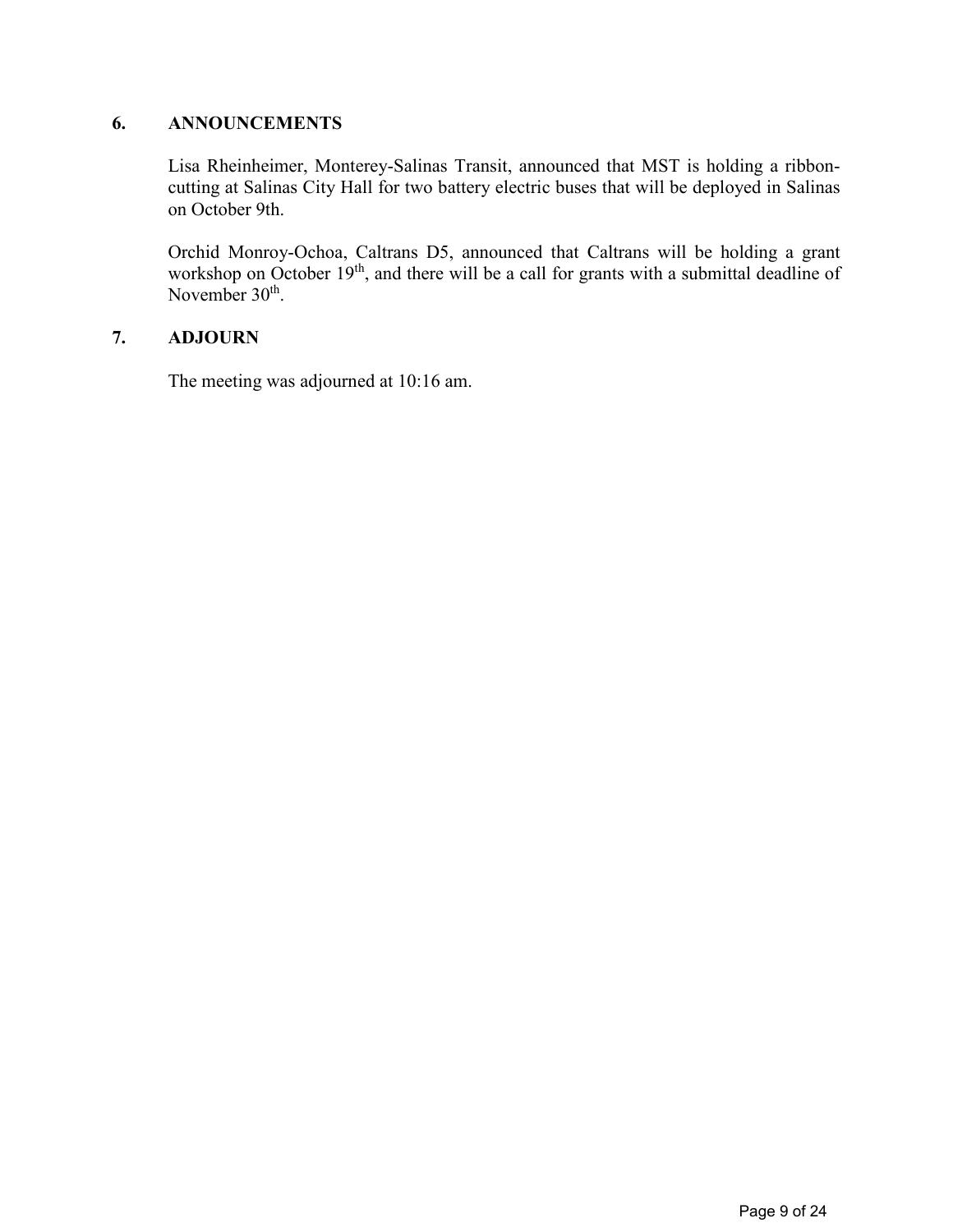### **6. ANNOUNCEMENTS**

Lisa Rheinheimer, Monterey-Salinas Transit, announced that MST is holding a ribboncutting at Salinas City Hall for two battery electric buses that will be deployed in Salinas on October 9th.

Orchid Monroy-Ochoa, Caltrans D5, announced that Caltrans will be holding a grant workshop on October 19<sup>th</sup>, and there will be a call for grants with a submittal deadline of November 30<sup>th</sup>.

### **7. ADJOURN**

The meeting was adjourned at 10:16 am.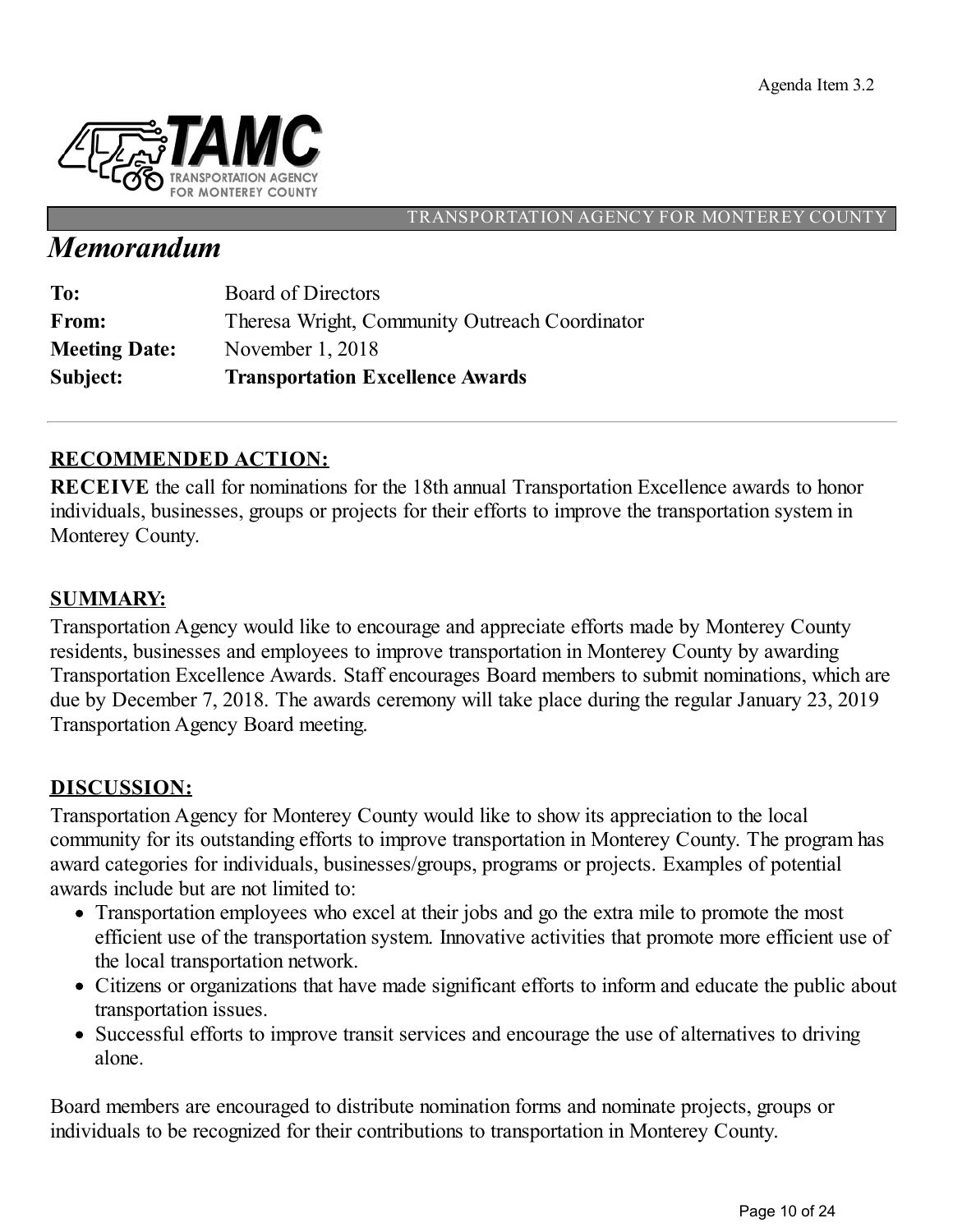

### TRANSPORTATION AGENCY FOR MONTEREY COUNT

# *Memorandum*

| Subject:             | <b>Transportation Excellence Awards</b>        |
|----------------------|------------------------------------------------|
| <b>Meeting Date:</b> | November $1, 2018$                             |
| From:                | Theresa Wright, Community Outreach Coordinator |
| To:                  | <b>Board of Directors</b>                      |

# **RECOMMENDED ACTION:**

**RECEIVE** the call for nominations for the 18th annual Transportation Excellence awards to honor individuals, businesses, groups or projects for their efforts to improve the transportation system in Monterey County.

# **SUMMARY:**

Transportation Agency would like to encourage and appreciate efforts made by Monterey County residents, businesses and employees to improve transportation in Monterey County by awarding Transportation Excellence Awards. Staff encourages Board members to submit nominations, which are due by December 7, 2018. The awards ceremony will take place during the regular January 23, 2019 Transportation Agency Board meeting.

# **DISCUSSION:**

Transportation Agency for Monterey County would like to show its appreciation to the local community for its outstanding efforts to improve transportation in Monterey County. The program has award categories for individuals, businesses/groups, programs or projects. Examples of potential awards include but are not limited to:

- Transportation employees who excel at their jobs and go the extra mile to promote the most efficient use of the transportation system. Innovative activities that promote more efficient use of the local transportation network.
- Citizens or organizations that have made significant efforts to inform and educate the public about transportation issues.
- Successful efforts to improve transit services and encourage the use of alternatives to driving alone.

Board members are encouraged to distribute nomination forms and nominate projects, groups or individuals to be recognized for their contributions to transportation in Monterey County.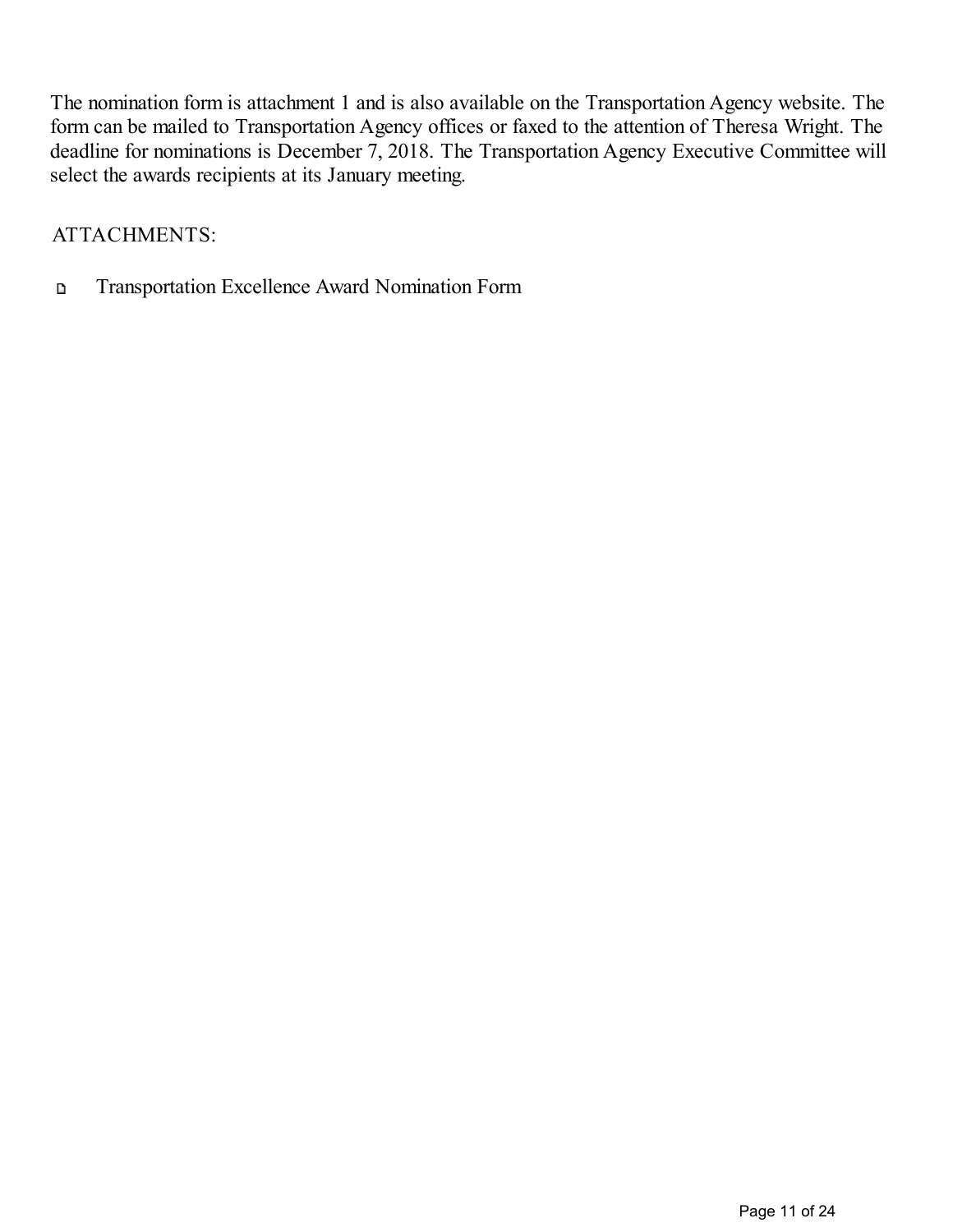The nomination form is attachment 1 and is also available on the Transportation Agency website. The form can be mailed to Transportation Agency offices or faxed to the attention of Theresa Wright. The deadline for nominations is December 7, 2018. The Transportation Agency Executive Committee will select the awards recipients at its January meeting.

ATTACHMENTS:

Transportation Excellence Award Nomination Form  $\mathbf D$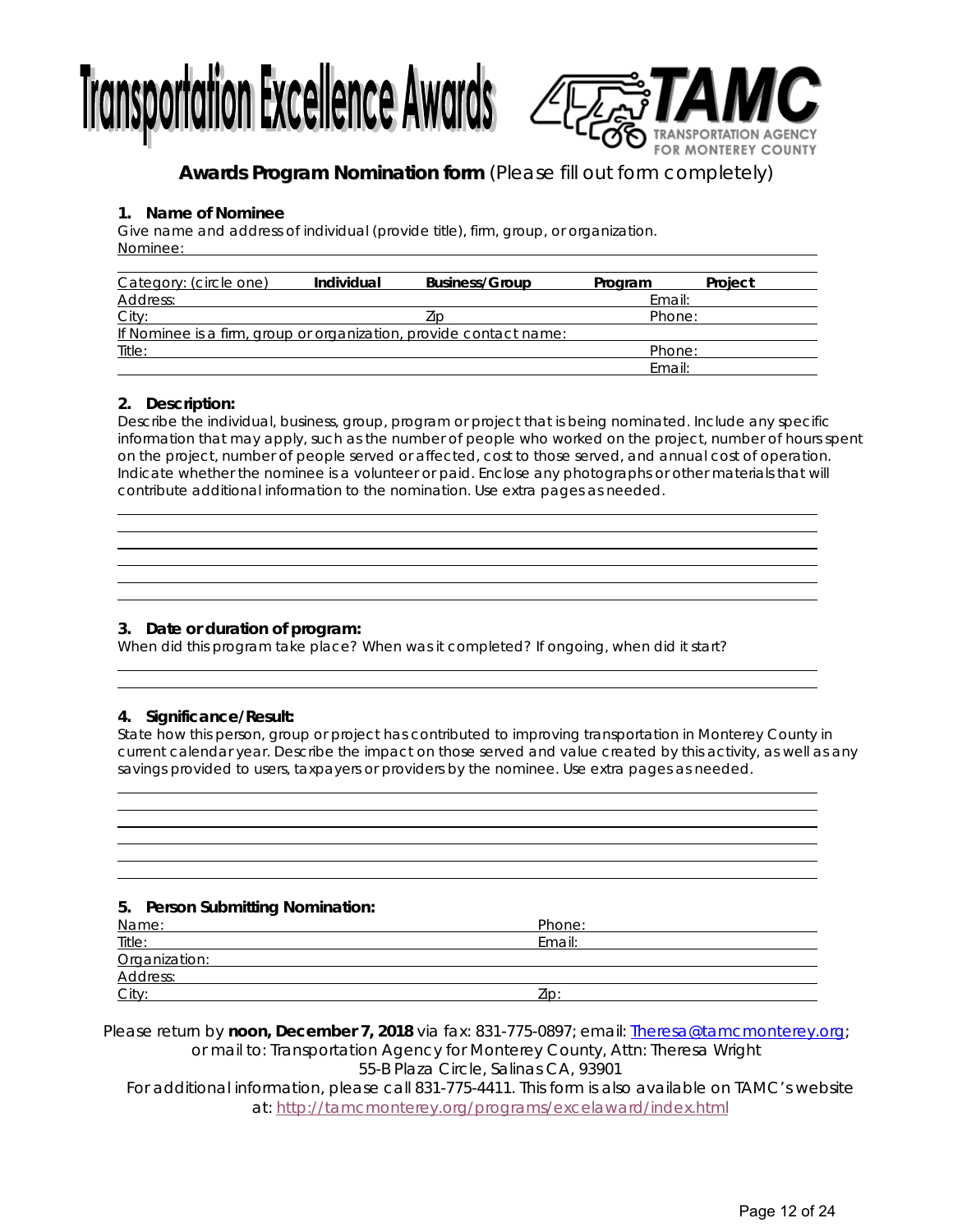



### **Awards Program Nomination form** (Please fill out form completely)

#### **1. Name of Nominee**

Give name and address of individual (provide title), firm, group, or organization. Nominee:

| Category: (circle one)                                             | Individual | <b>Business/Group</b> | Program | Project |
|--------------------------------------------------------------------|------------|-----------------------|---------|---------|
| Address:                                                           |            |                       | Email:  |         |
| City:                                                              |            | Zip                   | Phone:  |         |
| If Nominee is a firm, group or organization, provide contact name: |            |                       |         |         |
| Title:                                                             |            |                       | Phone:  |         |
|                                                                    |            |                       | Email:  |         |

#### **2. Description:**

 $\overline{a}$ 

 $\overline{a}$ 

 $\overline{a}$ 

 $\overline{a}$ 

 $\overline{a}$ 

Describe the individual, business, group, program or project that is being nominated. Include any specific information that may apply, such as the number of people who worked on the project, number of hours spent on the project, number of people served or affected, cost to those served, and annual cost of operation. Indicate whether the nominee is a volunteer or paid. Enclose any photographs or other materials that will contribute additional information to the nomination. Use extra pages as needed.

#### **3. Date or duration of program:**

When did this program take place? When was it completed? If ongoing, when did it start?

#### **4. Significance/Result:**

State how this person, group or project has contributed to improving transportation in Monterey County in current calendar year. Describe the impact on those served and value created by this activity, as well as any savings provided to users, taxpayers or providers by the nominee. Use extra pages as needed.

#### **5. Person Submitting Nomination:**

| -<br>Name:    | Phone: |
|---------------|--------|
| Title:        | Email: |
| Organization: |        |
| Address:      |        |
| City          | Zip    |

Please return by noon, December 7, 2018 via fax: 831-775-0897; email: Theresa@tamcmonterey.org; or mail to: Transportation Agency for Monterey County, Attn: Theresa Wright 55-B Plaza Circle, Salinas CA, 93901

For additional information, please call 831-775-4411. This form is also available on TAMC's website at: http://tamcmonterey.org/programs/excelaward/index.html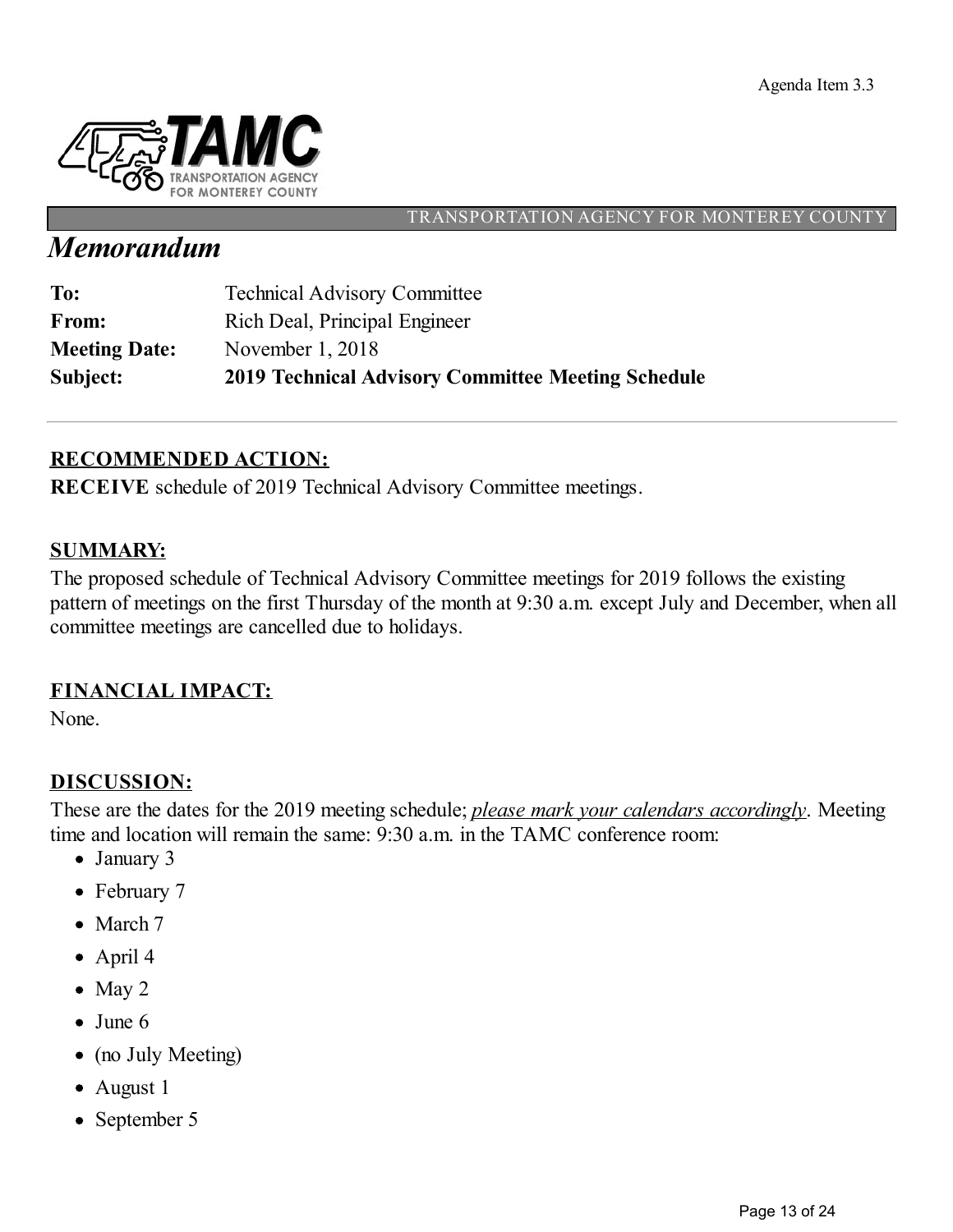Agenda Item 3.3



#### TRANSPORTATION AGENCY FOR MONTEREY COUNTY

# *Memorandum*

| Subject:             | <b>2019 Technical Advisory Committee Meeting Schedule</b> |
|----------------------|-----------------------------------------------------------|
| <b>Meeting Date:</b> | November $1, 2018$                                        |
| From:                | Rich Deal, Principal Engineer                             |
| To:                  | <b>Technical Advisory Committee</b>                       |

# **RECOMMENDED ACTION:**

**RECEIVE** schedule of 2019 Technical Advisory Committee meetings.

## **SUMMARY:**

The proposed schedule of Technical Advisory Committee meetings for 2019 follows the existing pattern of meetings on the first Thursday of the month at 9:30 a.m. except July and December, when all committee meetings are cancelled due to holidays.

## **FINANCIAL IMPACT:**

None.

## **DISCUSSION:**

These are the dates for the 2019 meeting schedule; *please mark your calendars accordingly*. Meeting time and location will remain the same: 9:30 a.m. in the TAMC conference room:

- January 3
- February 7
- March 7
- April 4
- $\bullet$  May 2
- June 6
- (no July Meeting)
- August 1
- September 5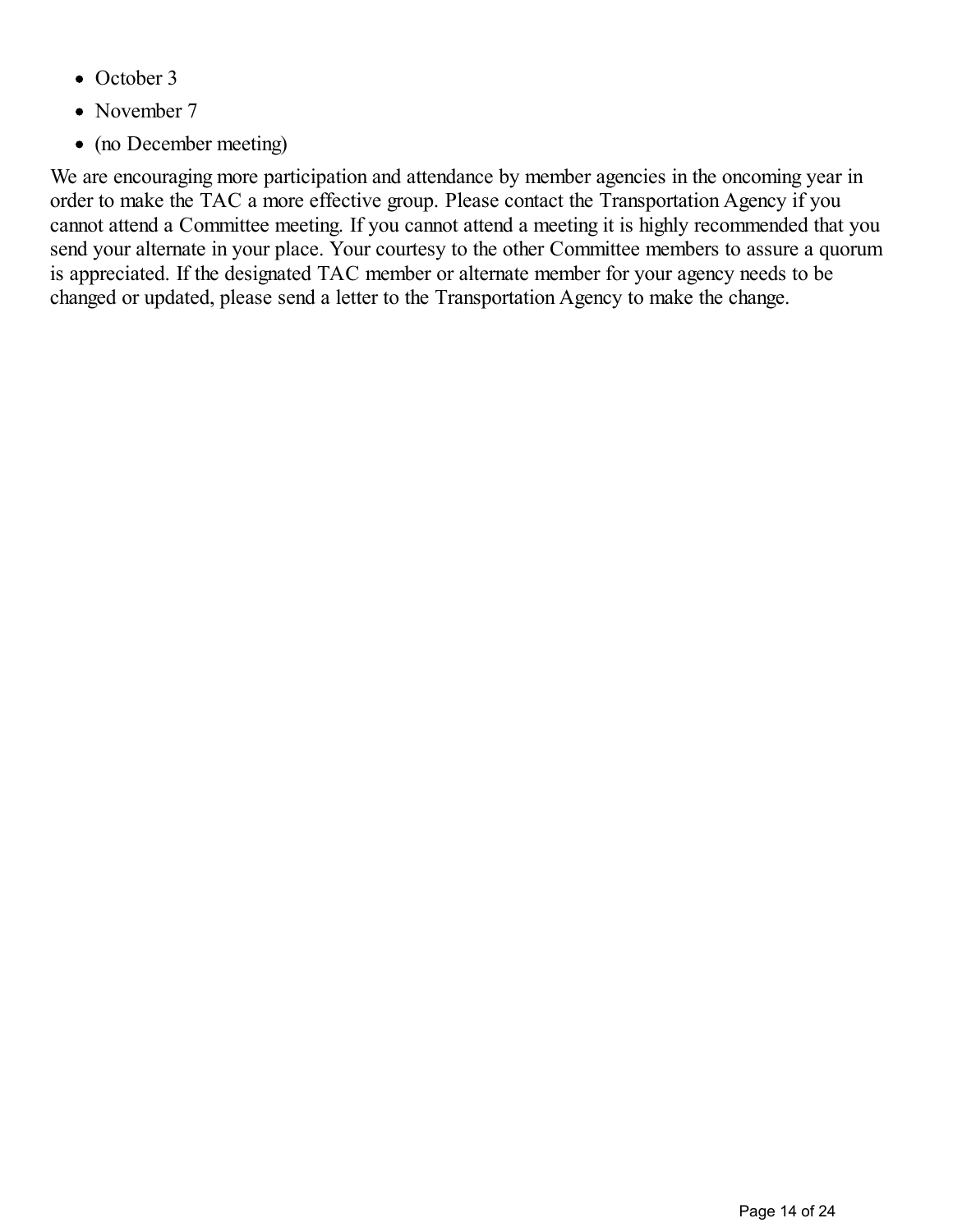- October 3
- November 7
- (no December meeting)

We are encouraging more participation and attendance by member agencies in the oncoming year in order to make the TAC a more effective group. Please contact the Transportation Agency if you cannot attend a Committee meeting. If you cannot attend a meeting it is highly recommended that you send your alternate in your place. Your courtesy to the other Committee members to assure a quorum is appreciated. If the designated TAC member or alternate member for your agency needs to be changed or updated, please send a letter to the Transportation Agency to make the change.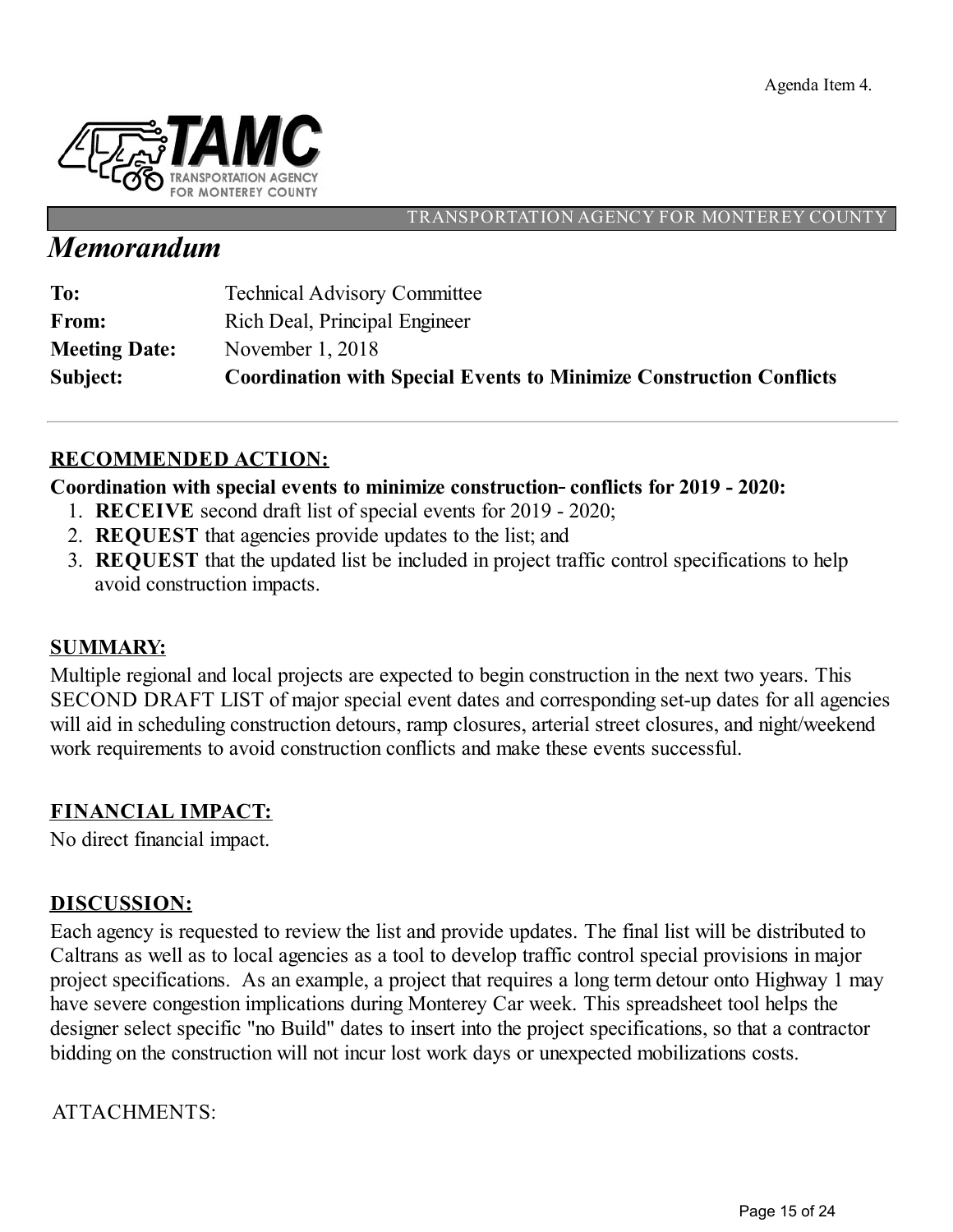Agenda Item 4.



#### TRANSPORTATION AGENCY FOR MONTEREY COUNT

# *Memorandum*

| To:                  | <b>Technical Advisory Committee</b>                                        |
|----------------------|----------------------------------------------------------------------------|
| From:                | Rich Deal, Principal Engineer                                              |
| <b>Meeting Date:</b> | November $1, 2018$                                                         |
| Subject:             | <b>Coordination with Special Events to Minimize Construction Conflicts</b> |

# **RECOMMENDED ACTION:**

### **Coordination with special events to minimize construction conflicts for 2019 - 2020:**

- 1. **RECEIVE** second draft list of special events for 2019 2020;
- 2. **REQUEST** that agencies provide updates to the list;and
- 3. **REQUEST** that the updated list be included in project traffic control specifications to help avoid construction impacts.

# **SUMMARY:**

Multiple regional and local projects are expected to begin construction in the next two years. This SECOND DRAFT LIST of major special event dates and corresponding set-up dates for all agencies will aid in scheduling construction detours, ramp closures, arterial street closures, and night/weekend work requirements to avoid construction conflicts and make these events successful.

# **FINANCIAL IMPACT:**

No direct financial impact.

## **DISCUSSION:**

Each agency is requested to review the list and provide updates. The final list will be distributed to Caltrans as well as to local agencies as a tool to develop traffic control special provisions in major project specifications. As an example, a project that requires a long term detour onto Highway 1 may have severe congestion implications during Monterey Car week. This spreadsheet tool helps the designer select specific "no Build" dates to insert into the project specifications, so that a contractor bidding on the construction will not incur lost work days or unexpected mobilizations costs.

## ATTACHMENTS: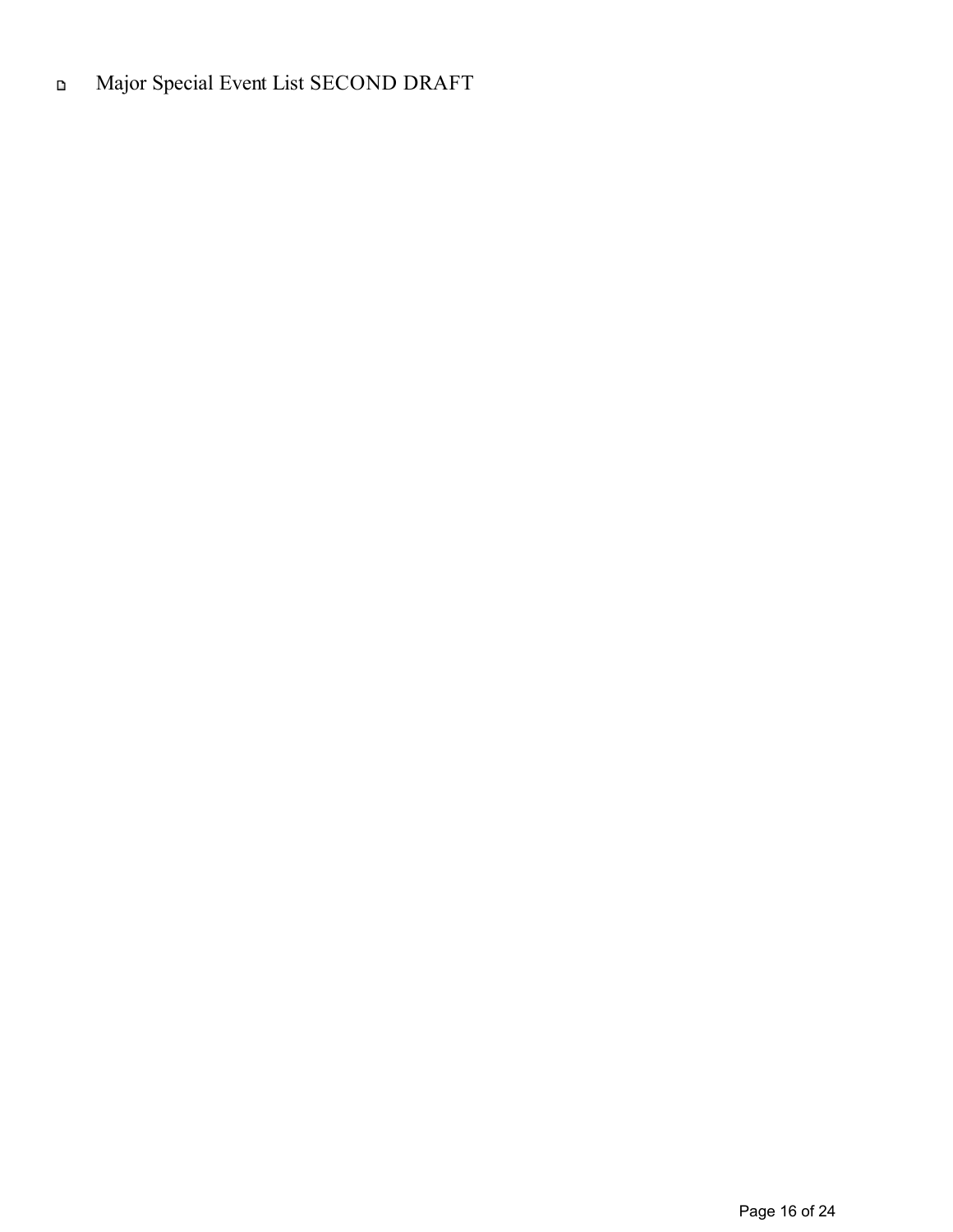#### Major Special Event List SECOND DRAFT  $\mathbf D$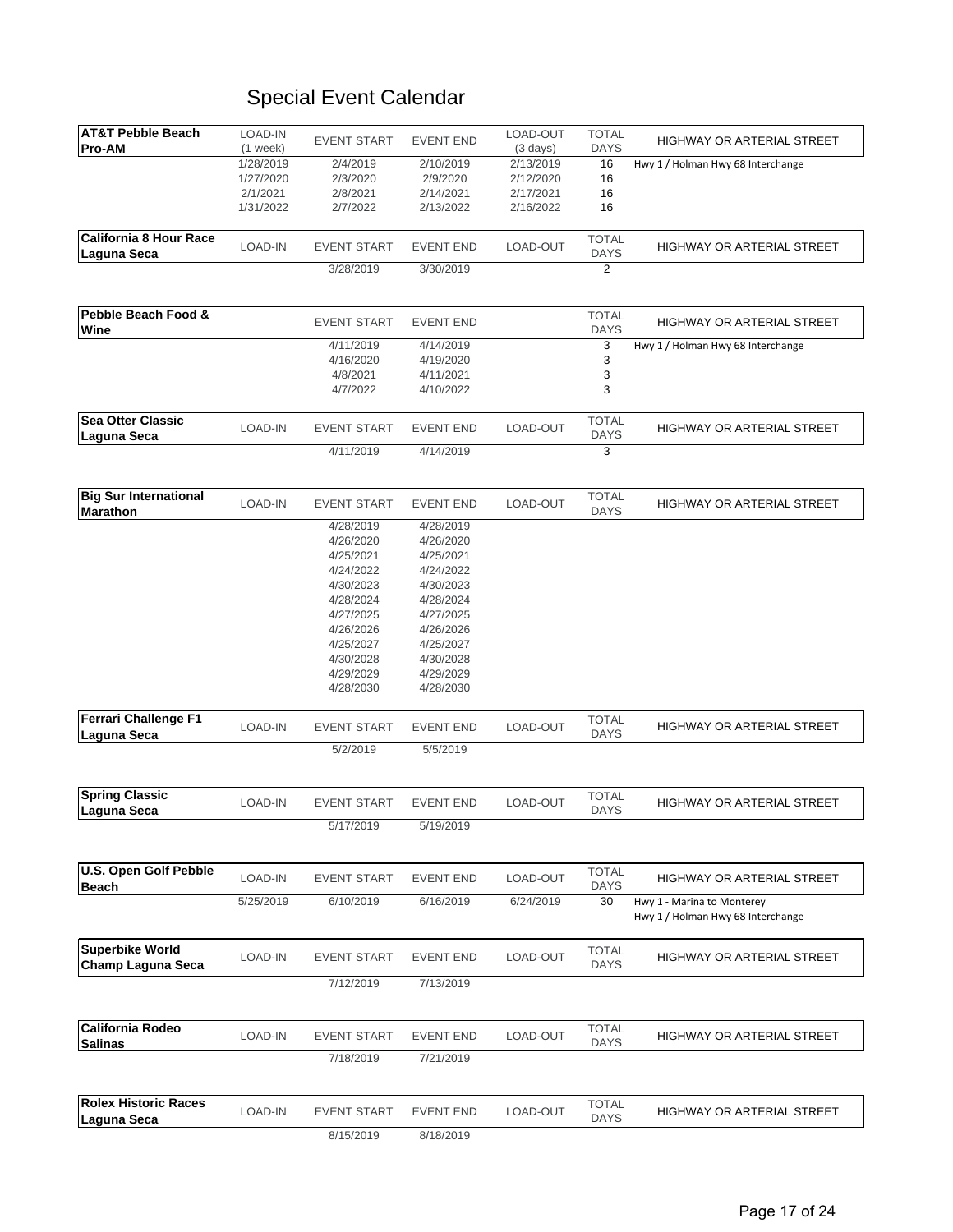| <b>AT&amp;T Pebble Beach</b>   | LOAD-IN    | <b>EVENT START</b>    | <b>EVENT END</b>       | LOAD-OUT           | <b>TOTAL</b>   | <b>HIGHWAY OR ARTERIAL STREET</b> |
|--------------------------------|------------|-----------------------|------------------------|--------------------|----------------|-----------------------------------|
| <b>Pro-AM</b>                  | $(1$ week) |                       |                        | $(3 \text{ days})$ | <b>DAYS</b>    |                                   |
|                                | 1/28/2019  | 2/4/2019              | 2/10/2019              | 2/13/2019          | 16             | Hwy 1 / Holman Hwy 68 Interchange |
|                                | 1/27/2020  | 2/3/2020              | 2/9/2020               | 2/12/2020          | 16             |                                   |
|                                | 2/1/2021   | 2/8/2021              | 2/14/2021              | 2/17/2021          | 16             |                                   |
|                                | 1/31/2022  | 2/7/2022              | 2/13/2022              | 2/16/2022          | 16             |                                   |
|                                |            |                       |                        |                    |                |                                   |
| California 8 Hour Race         | LOAD-IN    | <b>EVENT START</b>    | <b>EVENT END</b>       | LOAD-OUT           | <b>TOTAL</b>   | HIGHWAY OR ARTERIAL STREET        |
| Laguna Seca                    |            |                       |                        |                    | <b>DAYS</b>    |                                   |
|                                |            | 3/28/2019             | 3/30/2019              |                    | $\overline{2}$ |                                   |
|                                |            |                       |                        |                    |                |                                   |
|                                |            |                       |                        |                    |                |                                   |
| <b>Pebble Beach Food &amp;</b> |            | <b>EVENT START</b>    | <b>EVENT END</b>       |                    | <b>TOTAL</b>   | HIGHWAY OR ARTERIAL STREET        |
| Wine                           |            |                       |                        |                    | <b>DAYS</b>    |                                   |
|                                |            | 4/11/2019             | 4/14/2019              |                    | 3              | Hwy 1 / Holman Hwy 68 Interchange |
|                                |            | 4/16/2020<br>4/8/2021 | 4/19/2020<br>4/11/2021 |                    | 3<br>3         |                                   |
|                                |            | 4/7/2022              | 4/10/2022              |                    | 3              |                                   |
|                                |            |                       |                        |                    |                |                                   |
| <b>Sea Otter Classic</b>       |            |                       |                        |                    | <b>TOTAL</b>   |                                   |
| Laguna Seca                    | LOAD-IN    | <b>EVENT START</b>    | <b>EVENT END</b>       | LOAD-OUT           | <b>DAYS</b>    | HIGHWAY OR ARTERIAL STREET        |
|                                |            | 4/11/2019             | 4/14/2019              |                    | 3              |                                   |
|                                |            |                       |                        |                    |                |                                   |
|                                |            |                       |                        |                    |                |                                   |
| <b>Big Sur International</b>   | LOAD-IN    | <b>EVENT START</b>    | <b>EVENT END</b>       | LOAD-OUT           | <b>TOTAL</b>   | <b>HIGHWAY OR ARTERIAL STREET</b> |
| <b>Marathon</b>                |            |                       |                        |                    | <b>DAYS</b>    |                                   |
|                                |            | 4/28/2019             | 4/28/2019              |                    |                |                                   |
|                                |            | 4/26/2020             | 4/26/2020              |                    |                |                                   |
|                                |            | 4/25/2021             | 4/25/2021              |                    |                |                                   |
|                                |            | 4/24/2022             | 4/24/2022              |                    |                |                                   |
|                                |            | 4/30/2023             | 4/30/2023              |                    |                |                                   |
|                                |            | 4/28/2024             | 4/28/2024              |                    |                |                                   |
|                                |            | 4/27/2025             | 4/27/2025              |                    |                |                                   |
|                                |            | 4/26/2026             | 4/26/2026              |                    |                |                                   |
|                                |            | 4/25/2027             | 4/25/2027              |                    |                |                                   |
|                                |            | 4/30/2028             | 4/30/2028              |                    |                |                                   |
|                                |            | 4/29/2029             | 4/29/2029              |                    |                |                                   |
|                                |            | 4/28/2030             | 4/28/2030              |                    |                |                                   |
|                                |            |                       |                        |                    |                |                                   |
| Ferrari Challenge F1           | LOAD-IN    | <b>EVENT START</b>    | <b>EVENT END</b>       | LOAD-OUT           | <b>TOTAL</b>   | HIGHWAY OR ARTERIAL STREET        |
| Laguna Seca                    |            |                       |                        |                    | <b>DAYS</b>    |                                   |
|                                |            | 5/2/2019              | 5/5/2019               |                    |                |                                   |
|                                |            |                       |                        |                    |                |                                   |
| <b>Spring Classic</b>          |            |                       |                        |                    | <b>TOTAL</b>   |                                   |
| Laguna Seca                    | LOAD-IN    | <b>EVENT START</b>    | <b>EVENT END</b>       | LOAD-OUT           | <b>DAYS</b>    | HIGHWAY OR ARTERIAL STREET        |
|                                |            | 5/17/2019             | 5/19/2019              |                    |                |                                   |
|                                |            |                       |                        |                    |                |                                   |
|                                |            |                       |                        |                    |                |                                   |
| <b>U.S. Open Golf Pebble</b>   | LOAD-IN    | <b>EVENT START</b>    | <b>EVENT END</b>       | LOAD-OUT           | <b>TOTAL</b>   | HIGHWAY OR ARTERIAL STREET        |
| <b>Beach</b>                   |            |                       |                        |                    | <b>DAYS</b>    |                                   |
|                                | 5/25/2019  | 6/10/2019             | 6/16/2019              | 6/24/2019          | 30             | Hwy 1 - Marina to Monterey        |
|                                |            |                       |                        |                    |                | Hwy 1 / Holman Hwy 68 Interchange |
|                                |            |                       |                        |                    |                |                                   |
| <b>Superbike World</b>         | LOAD-IN    | <b>EVENT START</b>    | <b>EVENT END</b>       | LOAD-OUT           | <b>TOTAL</b>   | HIGHWAY OR ARTERIAL STREET        |
| <b>Champ Laguna Seca</b>       |            |                       |                        |                    | <b>DAYS</b>    |                                   |
|                                |            | 7/12/2019             | 7/13/2019              |                    |                |                                   |
|                                |            |                       |                        |                    |                |                                   |
|                                |            |                       |                        |                    |                |                                   |
| <b>California Rodeo</b>        | LOAD-IN    | <b>EVENT START</b>    | <b>EVENT END</b>       | LOAD-OUT           | <b>TOTAL</b>   | HIGHWAY OR ARTERIAL STREET        |
| <b>Salinas</b>                 |            | 7/18/2019             | 7/21/2019              |                    | <b>DAYS</b>    |                                   |
|                                |            |                       |                        |                    |                |                                   |
|                                |            |                       |                        |                    |                |                                   |
| <b>Rolex Historic Races</b>    |            |                       |                        |                    | <b>TOTAL</b>   |                                   |
| Laguna Seca                    | LOAD-IN    | <b>EVENT START</b>    | <b>EVENT END</b>       | LOAD-OUT           | <b>DAYS</b>    | HIGHWAY OR ARTERIAL STREET        |
|                                |            | 8/15/2019             | 8/18/2019              |                    |                |                                   |

# Special Event Calendar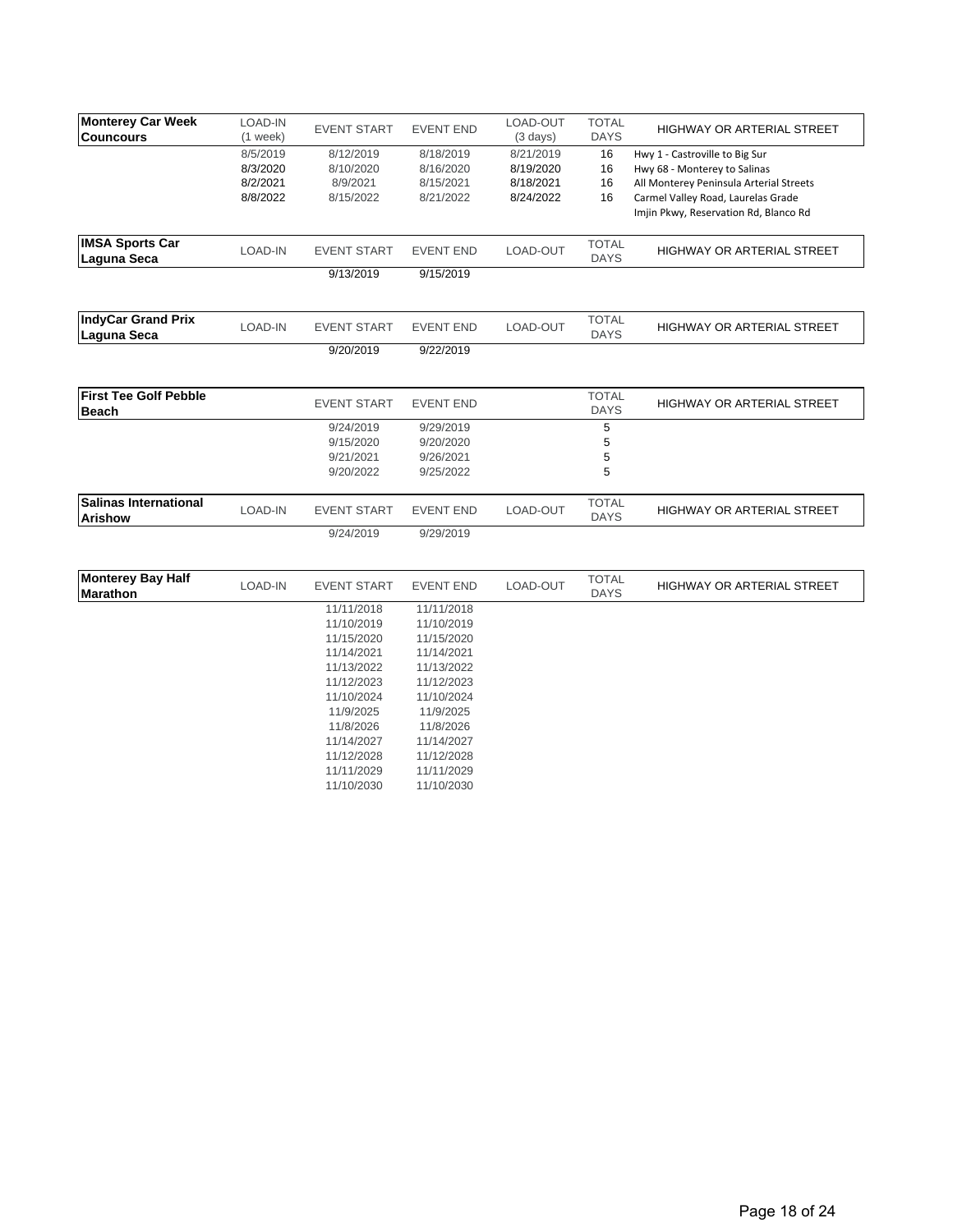| <b>Monterey Car Week</b>     | LOAD-IN    |                    |                  | LOAD-OUT           | <b>TOTAL</b> |                                         |
|------------------------------|------------|--------------------|------------------|--------------------|--------------|-----------------------------------------|
| <b>Councours</b>             | $(1$ week) | <b>EVENT START</b> | <b>EVENT END</b> | $(3 \text{ days})$ | <b>DAYS</b>  | HIGHWAY OR ARTERIAL STREET              |
|                              |            |                    |                  |                    |              |                                         |
|                              | 8/5/2019   | 8/12/2019          | 8/18/2019        | 8/21/2019          | 16           | Hwy 1 - Castroville to Big Sur          |
|                              | 8/3/2020   | 8/10/2020          | 8/16/2020        | 8/19/2020          | 16           | Hwy 68 - Monterey to Salinas            |
|                              | 8/2/2021   | 8/9/2021           | 8/15/2021        | 8/18/2021          | 16           | All Monterey Peninsula Arterial Streets |
|                              | 8/8/2022   | 8/15/2022          | 8/21/2022        | 8/24/2022          | 16           | Carmel Valley Road, Laurelas Grade      |
|                              |            |                    |                  |                    |              | Imjin Pkwy, Reservation Rd, Blanco Rd   |
|                              |            |                    |                  |                    |              |                                         |
| <b>IMSA Sports Car</b>       |            |                    |                  |                    | <b>TOTAL</b> |                                         |
|                              | LOAD-IN    | <b>EVENT START</b> | <b>EVENT END</b> | LOAD-OUT           | <b>DAYS</b>  | HIGHWAY OR ARTERIAL STREET              |
| Laguna Seca                  |            |                    |                  |                    |              |                                         |
|                              |            | 9/13/2019          | 9/15/2019        |                    |              |                                         |
|                              |            |                    |                  |                    |              |                                         |
| <b>IndyCar Grand Prix</b>    | LOAD-IN    | <b>EVENT START</b> | <b>EVENT END</b> | LOAD-OUT           | <b>TOTAL</b> | HIGHWAY OR ARTERIAL STREET              |
| Laguna Seca                  |            |                    |                  |                    | <b>DAYS</b>  |                                         |
|                              |            | 9/20/2019          | 9/22/2019        |                    |              |                                         |
|                              |            |                    |                  |                    |              |                                         |
| <b>First Tee Golf Pebble</b> |            | <b>EVENT START</b> | <b>EVENT END</b> |                    | <b>TOTAL</b> | HIGHWAY OR ARTERIAL STREET              |
| <b>Beach</b>                 |            |                    |                  |                    | <b>DAYS</b>  |                                         |
|                              |            | 9/24/2019          | 9/29/2019        |                    | 5            |                                         |
|                              |            | 9/15/2020          | 9/20/2020        |                    | 5            |                                         |
|                              |            |                    |                  |                    |              |                                         |
|                              |            | 9/21/2021          | 9/26/2021        |                    | 5            |                                         |
|                              |            | 9/20/2022          | 9/25/2022        |                    | 5            |                                         |
| <b>Salinas International</b> | LOAD-IN    | <b>EVENT START</b> | <b>EVENT END</b> | LOAD-OUT           | <b>TOTAL</b> | HIGHWAY OR ARTERIAL STREET              |
| Arishow                      |            |                    |                  |                    | <b>DAYS</b>  |                                         |
|                              |            | 9/24/2019          | 9/29/2019        |                    |              |                                         |
|                              |            |                    |                  |                    |              |                                         |
| <b>Monterey Bay Half</b>     |            |                    |                  |                    | TOTAL        |                                         |
| <b>Marathon</b>              | LOAD-IN    | <b>EVENT START</b> | <b>EVENT END</b> | LOAD-OUT           | <b>DAYS</b>  | HIGHWAY OR ARTERIAL STREET              |
|                              |            | 11/11/2018         | 11/11/2018       |                    |              |                                         |
|                              |            | 11/10/2019         | 11/10/2019       |                    |              |                                         |
|                              |            | 11/15/2020         | 11/15/2020       |                    |              |                                         |
|                              |            | 11/14/2021         | 11/14/2021       |                    |              |                                         |
|                              |            | 11/13/2022         | 11/13/2022       |                    |              |                                         |
|                              |            |                    |                  |                    |              |                                         |
|                              |            | 11/12/2023         | 11/12/2023       |                    |              |                                         |
|                              |            | 11/10/2024         | 11/10/2024       |                    |              |                                         |
|                              |            | 11/9/2025          | 11/9/2025        |                    |              |                                         |
|                              |            | 11/8/2026          | 11/8/2026        |                    |              |                                         |
|                              |            | 11/14/2027         | 11/14/2027       |                    |              |                                         |
|                              |            | 11/12/2028         | 11/12/2028       |                    |              |                                         |
|                              |            | 11/11/2029         | 11/11/2029       |                    |              |                                         |
|                              |            | 11/10/2030         | 11/10/2030       |                    |              |                                         |
|                              |            |                    |                  |                    |              |                                         |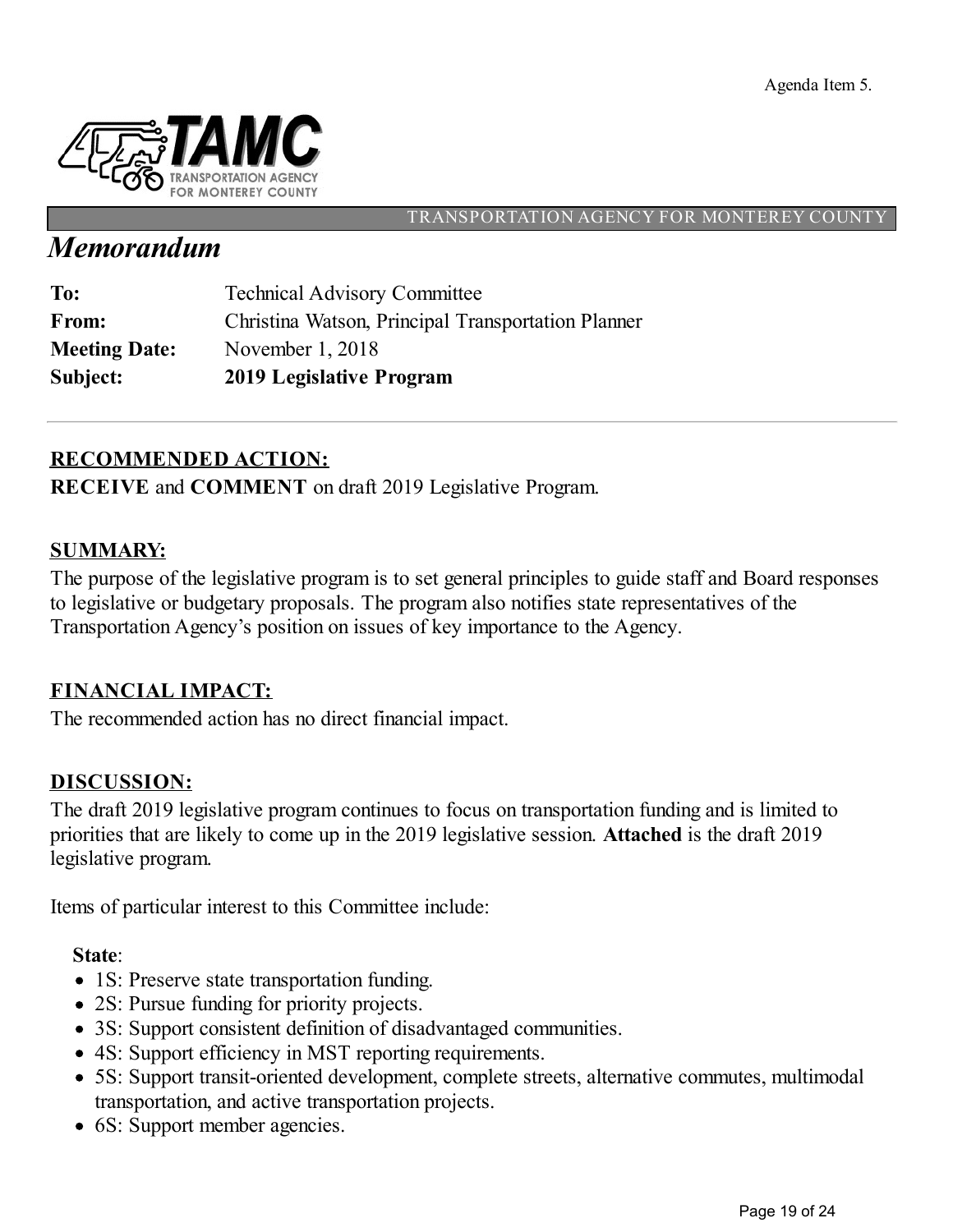Agenda Item 5.



### TRANSPORTATION AGENCY FOR MONTEREY COUNT

# *Memorandum*

| Subject:             | 2019 Legislative Program                           |
|----------------------|----------------------------------------------------|
| <b>Meeting Date:</b> | November $1, 2018$                                 |
| From:                | Christina Watson, Principal Transportation Planner |
| To:                  | <b>Technical Advisory Committee</b>                |

# **RECOMMENDED ACTION:**

**RECEIVE** and **COMMENT** on draft 2019 Legislative Program.

## **SUMMARY:**

The purpose of the legislative program is to set general principles to guide staff and Board responses to legislative or budgetary proposals. The program also notifies state representatives of the Transportation Agency's position on issues of key importance to the Agency.

## **FINANCIAL IMPACT:**

The recommended action has no direct financial impact.

## **DISCUSSION:**

The draft 2019 legislative program continues to focus on transportation funding and is limited to priorities that are likely to come up in the 2019 legislative session. **Attached** is the draft 2019 legislative program.

Items of particular interest to this Committee include:

### **State**:

- 1S: Preserve state transportation funding.
- 2S: Pursue funding for priority projects.
- 3S: Support consistent definition of disadvantaged communities.
- 4S: Support efficiency in MST reporting requirements.
- 5S: Support transit-oriented development, complete streets, alternative commutes, multimodal transportation, and active transportation projects.
- 6S: Support member agencies.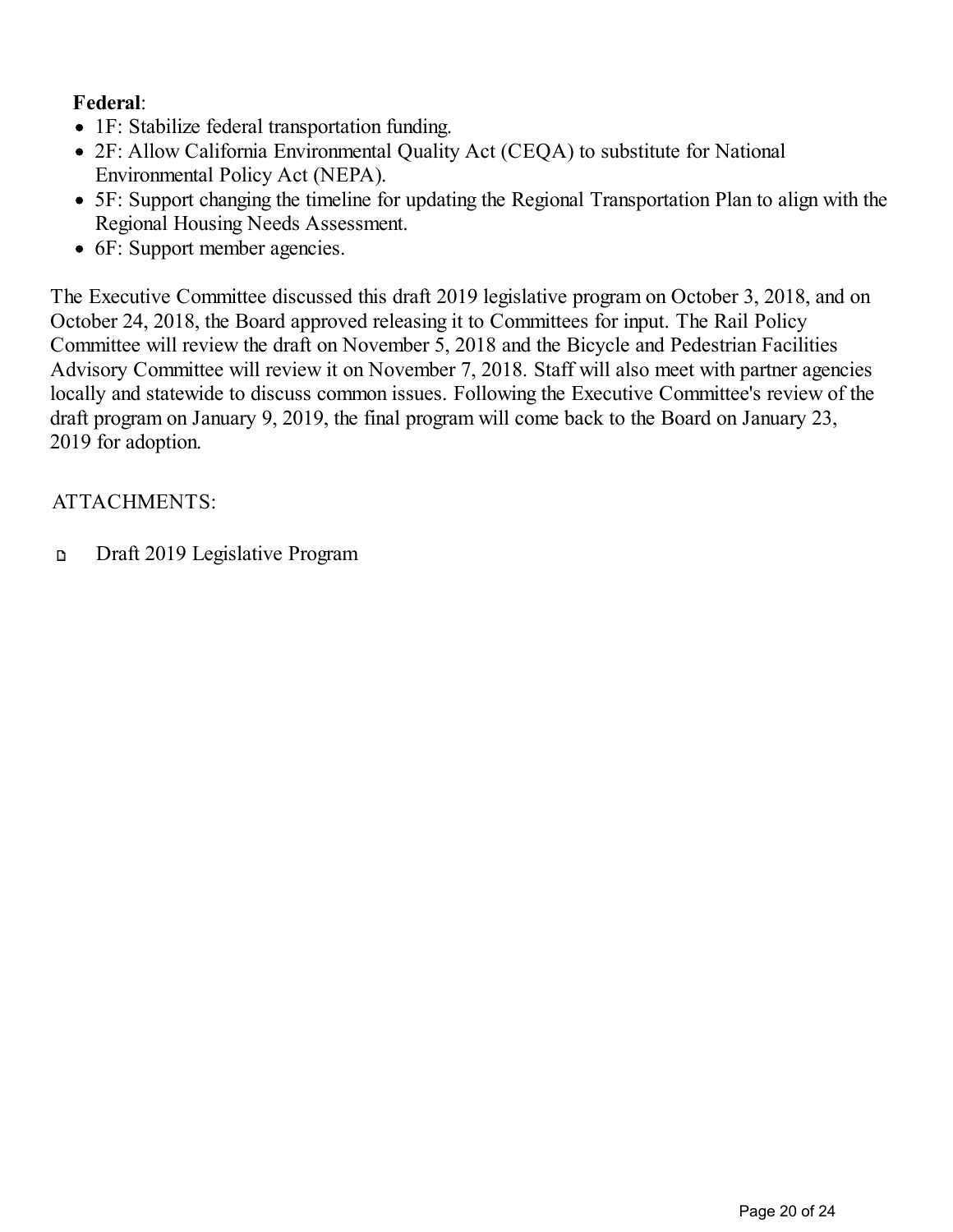# **Federal**:

- 1F: Stabilize federal transportation funding.
- 2F: Allow California Environmental Quality Act (CEQA) to substitute for National Environmental Policy Act (NEPA).
- 5F: Support changing the timeline for updating the Regional Transportation Plan to align with the Regional Housing Needs Assessment.
- 6F: Support member agencies.

The Executive Committee discussed this draft 2019 legislative program on October 3, 2018, and on October 24, 2018, the Board approved releasing it to Committees for input. The Rail Policy Committee will review the draft on November 5, 2018 and the Bicycle and Pedestrian Facilities Advisory Committee will review it on November 7, 2018. Staff will also meet with partner agencies locally and statewide to discuss common issues. Following the Executive Committee's review of the draft program on January 9, 2019, the final program will come back to the Board on January 23, 2019 for adoption.

# ATTACHMENTS:

Draft 2019 Legislative Program  $\Box$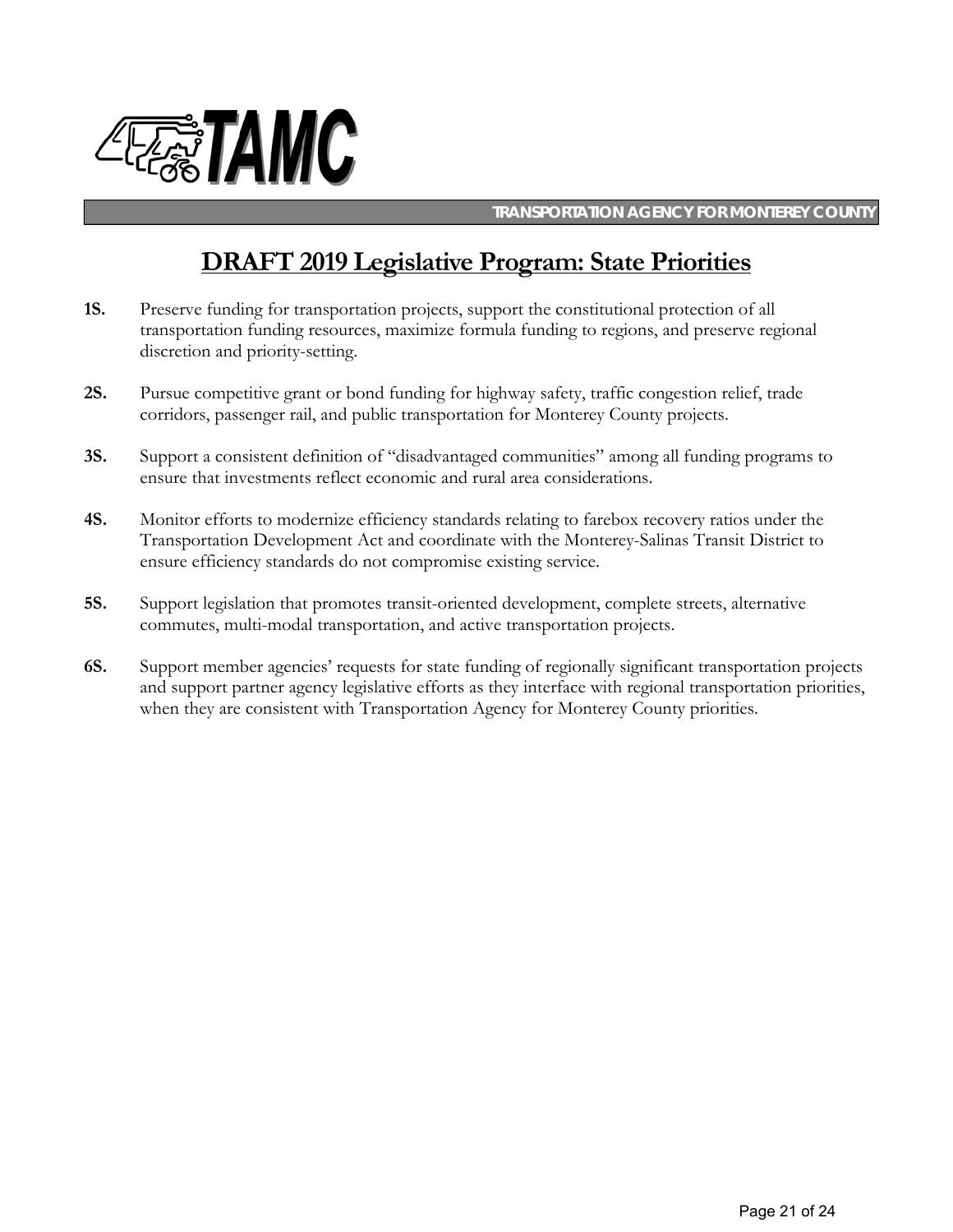

**TRANSPORTATION AGENCY FOR MONTEREY COUNTY**

# **DRAFT 2019 Legislative Program: State Priorities**

- **1S.** Preserve funding for transportation projects, support the constitutional protection of all transportation funding resources, maximize formula funding to regions, and preserve regional discretion and priority-setting.
- **2S.** Pursue competitive grant or bond funding for highway safety, traffic congestion relief, trade corridors, passenger rail, and public transportation for Monterey County projects.
- **3S.** Support a consistent definition of "disadvantaged communities" among all funding programs to ensure that investments reflect economic and rural area considerations.
- **4S.** Monitor efforts to modernize efficiency standards relating to farebox recovery ratios under the Transportation Development Act and coordinate with the Monterey-Salinas Transit District to ensure efficiency standards do not compromise existing service.
- **5S.** Support legislation that promotes transit-oriented development, complete streets, alternative commutes, multi-modal transportation, and active transportation projects.
- **6S.** Support member agencies' requests for state funding of regionally significant transportation projects and support partner agency legislative efforts as they interface with regional transportation priorities, when they are consistent with Transportation Agency for Monterey County priorities.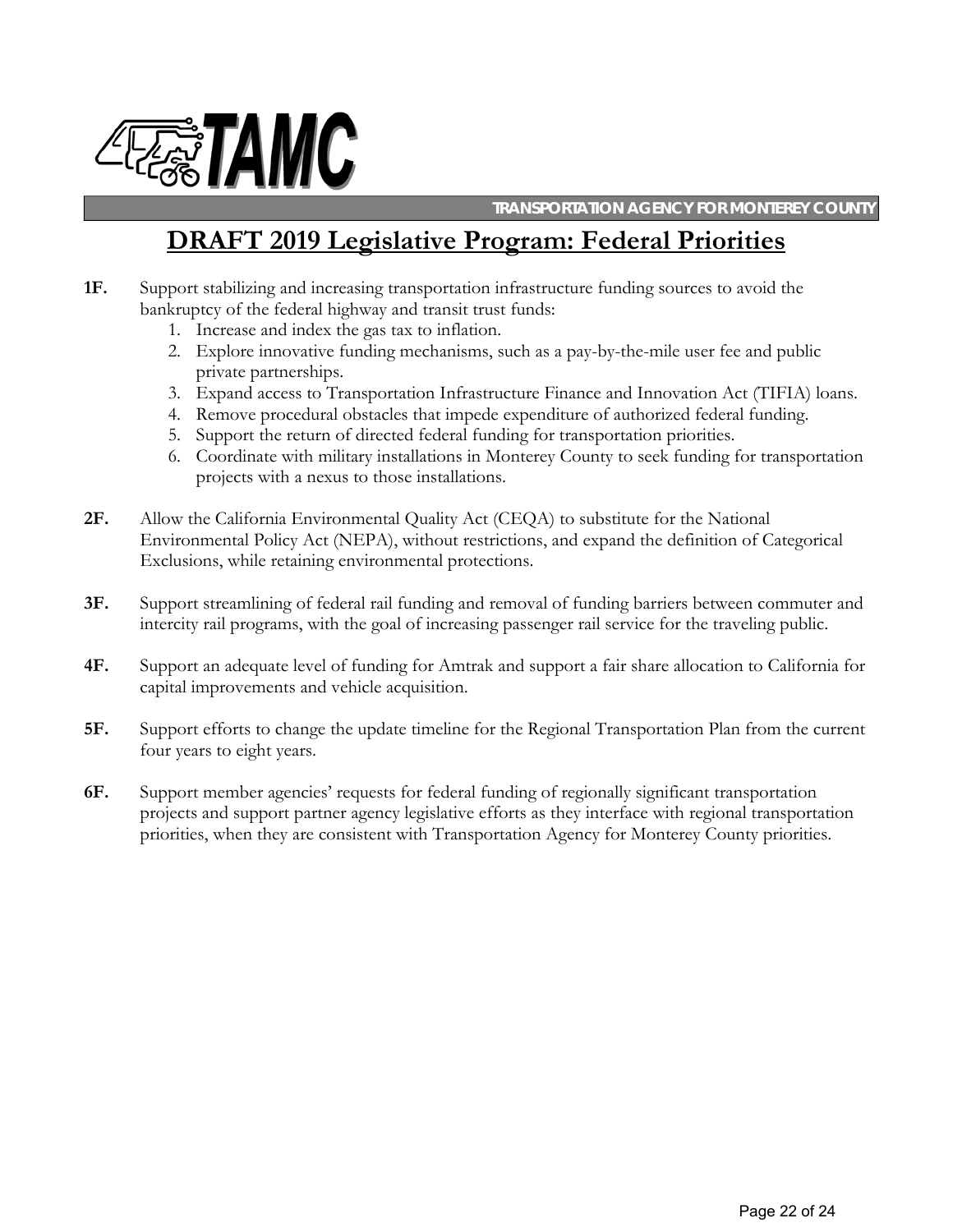

**TRANSPORTATION AGENCY FOR MONTEREY COUNTY**

# **DRAFT 2019 Legislative Program: Federal Priorities**

**1F.** Support stabilizing and increasing transportation infrastructure funding sources to avoid the bankruptcy of the federal highway and transit trust funds:

- 1. Increase and index the gas tax to inflation.
- 2. Explore innovative funding mechanisms, such as a pay-by-the-mile user fee and public private partnerships.
- 3. Expand access to Transportation Infrastructure Finance and Innovation Act (TIFIA) loans.
- 4. Remove procedural obstacles that impede expenditure of authorized federal funding.
- 5. Support the return of directed federal funding for transportation priorities.
- 6. Coordinate with military installations in Monterey County to seek funding for transportation projects with a nexus to those installations.
- **2F.** Allow the California Environmental Quality Act (CEQA) to substitute for the National Environmental Policy Act (NEPA), without restrictions, and expand the definition of Categorical Exclusions, while retaining environmental protections.
- **3F.** Support streamlining of federal rail funding and removal of funding barriers between commuter and intercity rail programs, with the goal of increasing passenger rail service for the traveling public.
- **4F.** Support an adequate level of funding for Amtrak and support a fair share allocation to California for capital improvements and vehicle acquisition.
- **5F.** Support efforts to change the update timeline for the Regional Transportation Plan from the current four years to eight years.
- **6F.** Support member agencies' requests for federal funding of regionally significant transportation projects and support partner agency legislative efforts as they interface with regional transportation priorities, when they are consistent with Transportation Agency for Monterey County priorities.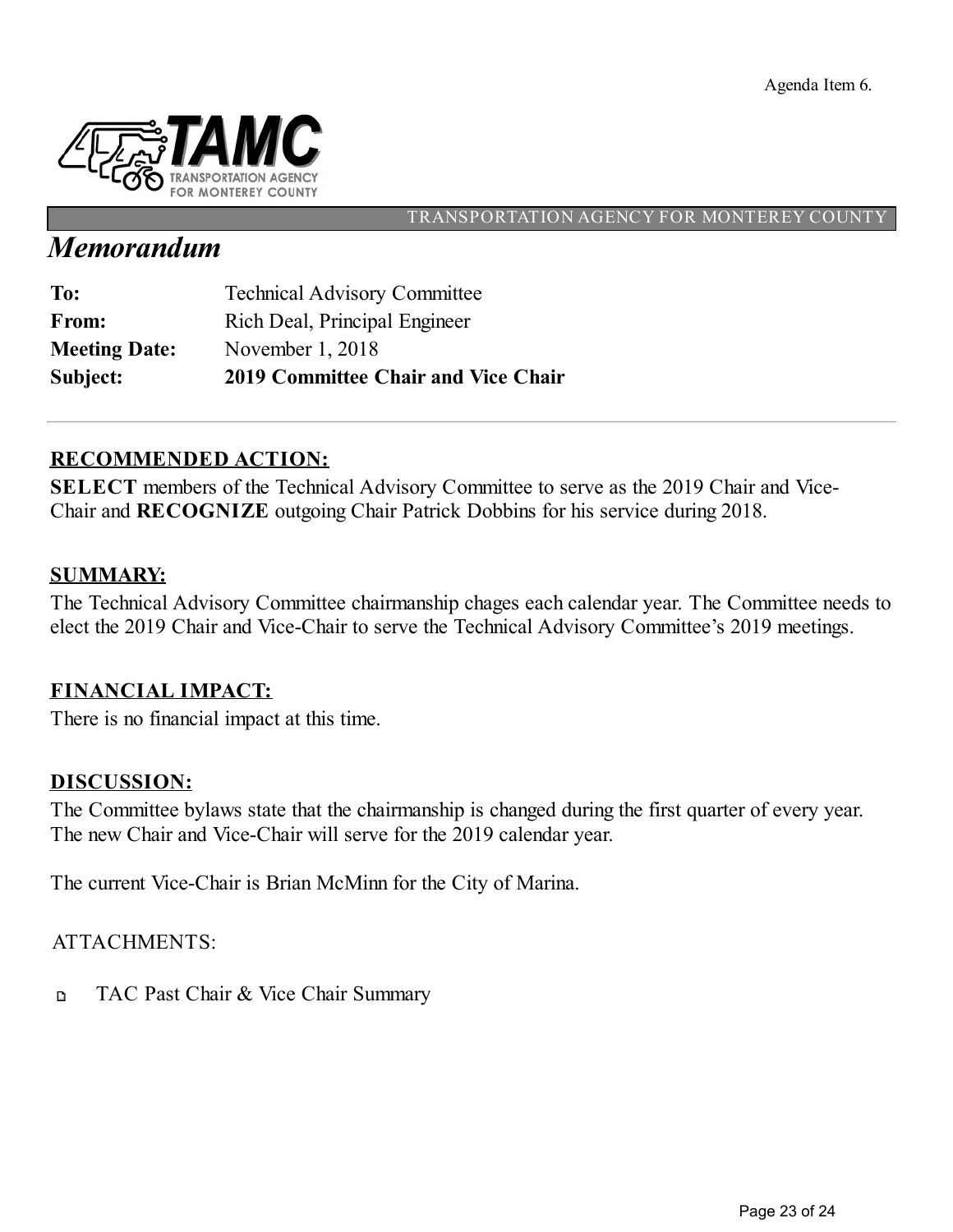Agenda Item 6.



#### TRANSPORTATION AGENCY FOR MONTEREY COUNTY

# *Memorandum*

| Subject:             | <b>2019 Committee Chair and Vice Chair</b> |
|----------------------|--------------------------------------------|
| <b>Meeting Date:</b> | November $1, 2018$                         |
| From:                | Rich Deal, Principal Engineer              |
| To:                  | <b>Technical Advisory Committee</b>        |

# **RECOMMENDED ACTION:**

**SELECT** members of the Technical Advisory Committee to serve as the 2019 Chair and Vice-Chair and **RECOGNIZE** outgoing Chair Patrick Dobbins for his service during 2018.

## **SUMMARY:**

The Technical Advisory Committee chairmanship chages each calendar year. The Committee needs to elect the 2019 Chair and Vice-Chair to serve the Technical Advisory Committee's 2019 meetings.

## **FINANCIAL IMPACT:**

There is no financial impact at this time.

## **DISCUSSION:**

The Committee bylaws state that the chairmanship is changed during the first quarter of every year. The new Chair and Vice-Chair will serve for the 2019 calendar year.

The current Vice-Chair is Brian McMinn for the City of Marina.

## ATTACHMENTS:

TAC Past Chair & Vice Chair Summary  $\mathbf D$